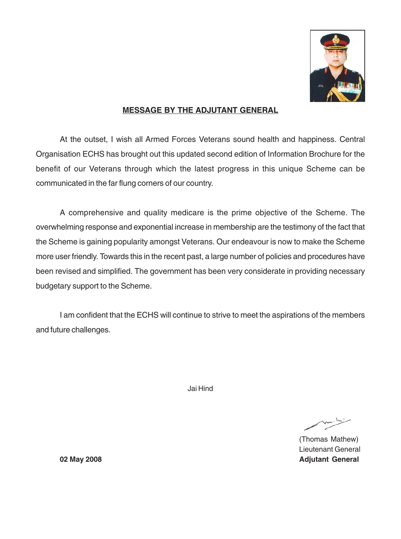

## **MESSAGE BY THE ADJUTANT GENERAL**

At the outset, I wish all Armed Forces Veterans sound health and happiness. Central Organisation ECHS has brought out this updated second edition of Information Brochure for the benefit of our Veterans through which the latest progress in this unique Scheme can be communicated in the far flung corners of our country.

A comprehensive and quality medicare is the prime objective of the Scheme. The overwhelming response and exponential increase in membership are the testimony of the fact that the Scheme is gaining popularity amongst Veterans. Our endeavour is now to make the Scheme more user friendly. Towards this in the recent past, a large number of policies and procedures have been revised and simplified. The government has been very considerate in providing necessary budgetary support to the Scheme.

I am confident that the ECHS will continue to strive to meet the aspirations of the members and future challenges.

Jai Hind

 $m \cdot 1$ 

(Thomas Mathew) Lieutenant General **02 May 2008 Adjutant General**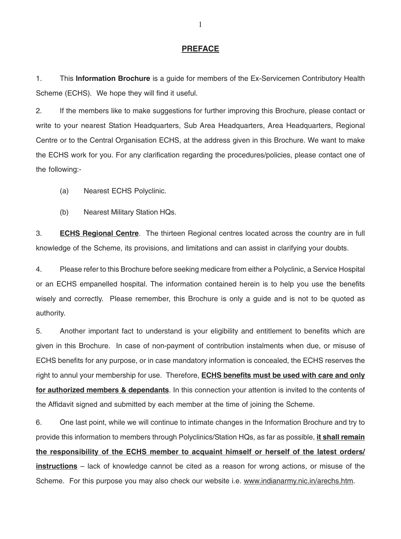## **PREFACE**

1. This **Information Brochure** is a guide for members of the Ex-Servicemen Contributory Health Scheme (ECHS). We hope they will find it useful.

2. If the members like to make suggestions for further improving this Brochure, please contact or write to your nearest Station Headquarters, Sub Area Headquarters, Area Headquarters, Regional Centre or to the Central Organisation ECHS, at the address given in this Brochure. We want to make the ECHS work for you. For any clarification regarding the procedures/policies, please contact one of the following:-

- (a) Nearest ECHS Polyclinic.
- (b) Nearest Military Station HQs.

3. **ECHS Regional Centre**. The thirteen Regional centres located across the country are in full knowledge of the Scheme, its provisions, and limitations and can assist in clarifying your doubts.

4. Please refer to this Brochure before seeking medicare from either a Polyclinic, a Service Hospital or an ECHS empanelled hospital. The information contained herein is to help you use the benefits wisely and correctly. Please remember, this Brochure is only a guide and is not to be quoted as authority.

5. Another important fact to understand is your eligibility and entitlement to benefits which are given in this Brochure. In case of non-payment of contribution instalments when due, or misuse of ECHS benefits for any purpose, or in case mandatory information is concealed, the ECHS reserves the right to annul your membership for use. Therefore, **ECHS benefits must be used with care and only for authorized members & dependants**. In this connection your attention is invited to the contents of the Affidavit signed and submitted by each member at the time of joining the Scheme.

6. One last point, while we will continue to intimate changes in the Information Brochure and try to provide this information to members through Polyclinics/Station HQs, as far as possible, **it shall remain the responsibility of the ECHS member to acquaint himself or herself of the latest orders/ instructions** – lack of knowledge cannot be cited as a reason for wrong actions, or misuse of the Scheme. For this purpose you may also check our website i.e. www.indianarmy.nic.in/arechs.htm.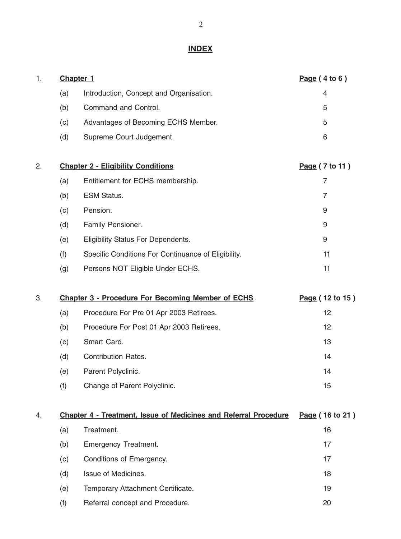## **INDEX**

| 1. |     | Chapter 1                                                        | Page(4 to 6)    |
|----|-----|------------------------------------------------------------------|-----------------|
|    | (a) | Introduction, Concept and Organisation.                          | 4               |
|    | (b) | Command and Control.                                             | 5               |
|    | (c) | Advantages of Becoming ECHS Member.                              | 5               |
|    | (d) | Supreme Court Judgement.                                         | 6               |
| 2. |     | <b>Chapter 2 - Eligibility Conditions</b>                        | Page (7 to 11)  |
|    | (a) | Entitlement for ECHS membership.                                 | 7               |
|    | (b) | <b>ESM Status.</b>                                               | 7               |
|    | (c) | Pension.                                                         | 9               |
|    | (d) | Family Pensioner.                                                | 9               |
|    | (e) | <b>Eligibility Status For Dependents.</b>                        | 9               |
|    | (f) | Specific Conditions For Continuance of Eligibility.              | 11              |
|    | (g) | Persons NOT Eligible Under ECHS.                                 | 11              |
| 3. |     | <b>Chapter 3 - Procedure For Becoming Member of ECHS</b>         | Page (12 to 15) |
|    | (a) | Procedure For Pre 01 Apr 2003 Retirees.                          | 12              |
|    | (b) | Procedure For Post 01 Apr 2003 Retirees.                         | 12              |
|    | (c) | Smart Card.                                                      | 13              |
|    | (d) | <b>Contribution Rates.</b>                                       | 14              |
|    | (e) | Parent Polyclinic.                                               | 14              |
|    | (f) | Change of Parent Polyclinic.                                     | 15              |
| 4. |     | Chapter 4 - Treatment, Issue of Medicines and Referral Procedure | Page (16 to 21) |
|    | (a) | Treatment.                                                       | 16              |
|    | (b) | Emergency Treatment.                                             | 17              |
|    | (c) | Conditions of Emergency.                                         | 17              |
|    | (d) | Issue of Medicines.                                              | 18              |
|    | (e) | Temporary Attachment Certificate.                                | 19              |

(f) Referral concept and Procedure. 20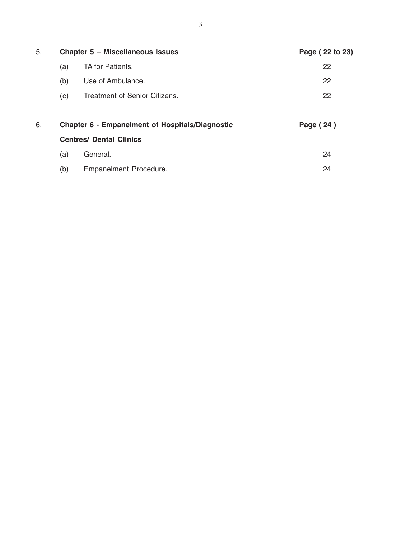| 5. |     | Chapter 5 - Miscellaneous Issues                       | Page (22 to 23) |
|----|-----|--------------------------------------------------------|-----------------|
|    | (a) | TA for Patients.                                       | 22              |
|    | (b) | Use of Ambulance.                                      | 22              |
|    | (c) | <b>Treatment of Senior Citizens.</b>                   | 22              |
| 6. |     | <b>Chapter 6 - Empanelment of Hospitals/Diagnostic</b> | Page (24)       |
|    |     | <b>Centres/ Dental Clinics</b>                         |                 |
|    |     |                                                        |                 |
|    | (a) | General.                                               | 24              |
|    | (b) | Empanelment Procedure.                                 | 24              |
|    |     |                                                        |                 |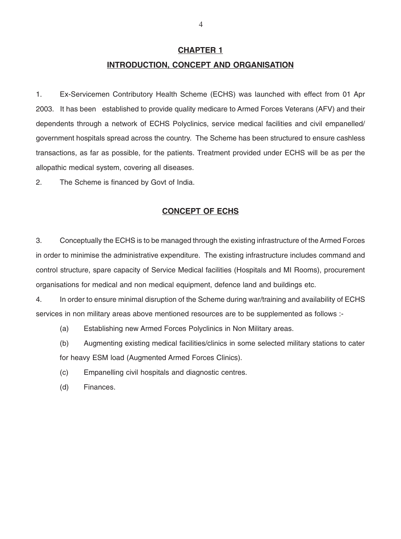## **CHAPTER 1 INTRODUCTION, CONCEPT AND ORGANISATION**

1. Ex-Servicemen Contributory Health Scheme (ECHS) was launched with effect from 01 Apr 2003. It has been established to provide quality medicare to Armed Forces Veterans (AFV) and their dependents through a network of ECHS Polyclinics, service medical facilities and civil empanelled/ government hospitals spread across the country. The Scheme has been structured to ensure cashless transactions, as far as possible, for the patients. Treatment provided under ECHS will be as per the allopathic medical system, covering all diseases.

2. The Scheme is financed by Govt of India.

## **CONCEPT OF ECHS**

3. Conceptually the ECHS is to be managed through the existing infrastructure of the Armed Forces in order to minimise the administrative expenditure. The existing infrastructure includes command and control structure, spare capacity of Service Medical facilities (Hospitals and MI Rooms), procurement organisations for medical and non medical equipment, defence land and buildings etc.

4. In order to ensure minimal disruption of the Scheme during war/training and availability of ECHS services in non military areas above mentioned resources are to be supplemented as follows :-

(a) Establishing new Armed Forces Polyclinics in Non Military areas.

(b) Augmenting existing medical facilities/clinics in some selected military stations to cater for heavy ESM load (Augmented Armed Forces Clinics).

(c) Empanelling civil hospitals and diagnostic centres.

(d) Finances.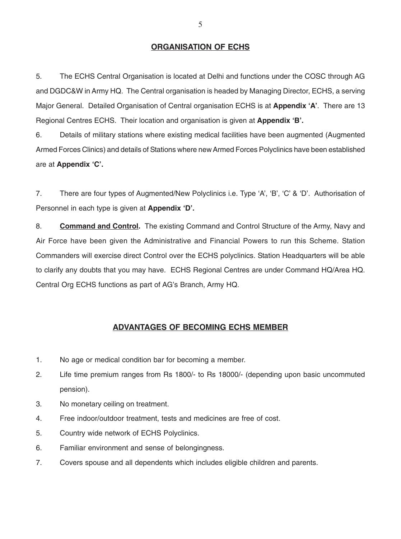### **ORGANISATION OF ECHS**

5. The ECHS Central Organisation is located at Delhi and functions under the COSC through AG and DGDC&W in Army HQ. The Central organisation is headed by Managing Director, ECHS, a serving Major General. Detailed Organisation of Central organisation ECHS is at **Appendix 'A'**. There are 13 Regional Centres ECHS. Their location and organisation is given at **Appendix 'B'.**

6. Details of military stations where existing medical facilities have been augmented (Augmented Armed Forces Clinics) and details of Stations where new Armed Forces Polyclinics have been established are at **Appendix 'C'.**

7. There are four types of Augmented/New Polyclinics i.e. Type 'A', 'B', 'C' & 'D'. Authorisation of Personnel in each type is given at **Appendix 'D'.**

8. **Command and Control.** The existing Command and Control Structure of the Army, Navy and Air Force have been given the Administrative and Financial Powers to run this Scheme. Station Commanders will exercise direct Control over the ECHS polyclinics. Station Headquarters will be able to clarify any doubts that you may have. ECHS Regional Centres are under Command HQ/Area HQ. Central Org ECHS functions as part of AG's Branch, Army HQ.

## **ADVANTAGES OF BECOMING ECHS MEMBER**

- 1. No age or medical condition bar for becoming a member.
- 2. Life time premium ranges from Rs 1800/- to Rs 18000/- (depending upon basic uncommuted pension).
- 3. No monetary ceiling on treatment.
- 4. Free indoor/outdoor treatment, tests and medicines are free of cost.
- 5. Country wide network of ECHS Polyclinics.
- 6. Familiar environment and sense of belongingness.
- 7. Covers spouse and all dependents which includes eligible children and parents.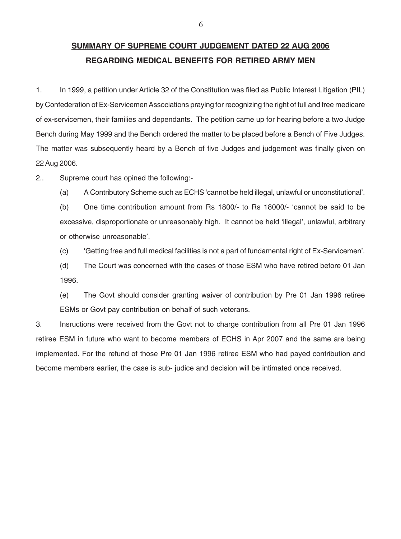## **SUMMARY OF SUPREME COURT JUDGEMENT DATED 22 AUG 2006 REGARDING MEDICAL BENEFITS FOR RETIRED ARMY MEN**

1. In 1999, a petition under Article 32 of the Constitution was filed as Public Interest Litigation (PIL) by Confederation of Ex-Servicemen Associations praying for recognizing the right of full and free medicare of ex-servicemen, their families and dependants. The petition came up for hearing before a two Judge Bench during May 1999 and the Bench ordered the matter to be placed before a Bench of Five Judges. The matter was subsequently heard by a Bench of five Judges and judgement was finally given on 22 Aug 2006.

2.. Supreme court has opined the following:-

(a) A Contributory Scheme such as ECHS 'cannot be held illegal, unlawful or unconstitutional'.

(b) One time contribution amount from Rs 1800/- to Rs 18000/- 'cannot be said to be excessive, disproportionate or unreasonably high. It cannot be held 'illegal', unlawful, arbitrary or otherwise unreasonable'.

(c) 'Getting free and full medical facilities is not a part of fundamental right of Ex-Servicemen'.

(d) The Court was concerned with the cases of those ESM who have retired before 01 Jan 1996.

(e) The Govt should consider granting waiver of contribution by Pre 01 Jan 1996 retiree ESMs or Govt pay contribution on behalf of such veterans.

3. Insructions were received from the Govt not to charge contribution from all Pre 01 Jan 1996 retiree ESM in future who want to become members of ECHS in Apr 2007 and the same are being implemented. For the refund of those Pre 01 Jan 1996 retiree ESM who had payed contribution and become members earlier, the case is sub- judice and decision will be intimated once received.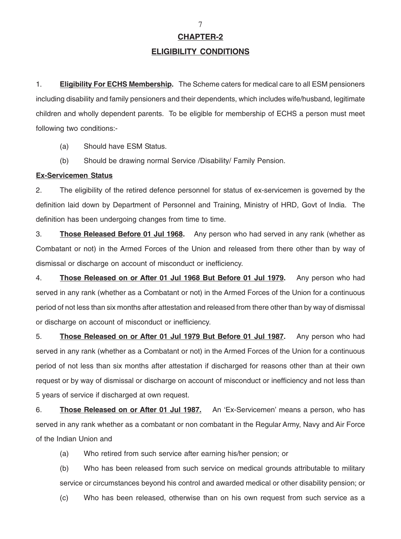**CHAPTER-2**

#### **ELIGIBILITY CONDITIONS**

1. **Eligibility For ECHS Membership.** The Scheme caters for medical care to all ESM pensioners including disability and family pensioners and their dependents, which includes wife/husband, legitimate children and wholly dependent parents. To be eligible for membership of ECHS a person must meet following two conditions:-

(a) Should have ESM Status.

(b) Should be drawing normal Service /Disability/ Family Pension.

#### **Ex-Servicemen Status**

2. The eligibility of the retired defence personnel for status of ex-servicemen is governed by the definition laid down by Department of Personnel and Training, Ministry of HRD, Govt of India. The definition has been undergoing changes from time to time.

3. **Those Released Before 01 Jul 1968.** Any person who had served in any rank (whether as Combatant or not) in the Armed Forces of the Union and released from there other than by way of dismissal or discharge on account of misconduct or inefficiency.

4. **Those Released on or After 01 Jul 1968 But Before 01 Jul 1979.** Any person who had served in any rank (whether as a Combatant or not) in the Armed Forces of the Union for a continuous period of not less than six months after attestation and released from there other than by way of dismissal or discharge on account of misconduct or inefficiency.

5. **Those Released on or After 01 Jul 1979 But Before 01 Jul 1987.** Any person who had served in any rank (whether as a Combatant or not) in the Armed Forces of the Union for a continuous period of not less than six months after attestation if discharged for reasons other than at their own request or by way of dismissal or discharge on account of misconduct or inefficiency and not less than 5 years of service if discharged at own request.

6. **Those Released on or After 01 Jul 1987.** An 'Ex-Servicemen' means a person, who has served in any rank whether as a combatant or non combatant in the Regular Army, Navy and Air Force of the Indian Union and

(a) Who retired from such service after earning his/her pension; or

(b) Who has been released from such service on medical grounds attributable to military service or circumstances beyond his control and awarded medical or other disability pension; or

(c) Who has been released, otherwise than on his own request from such service as a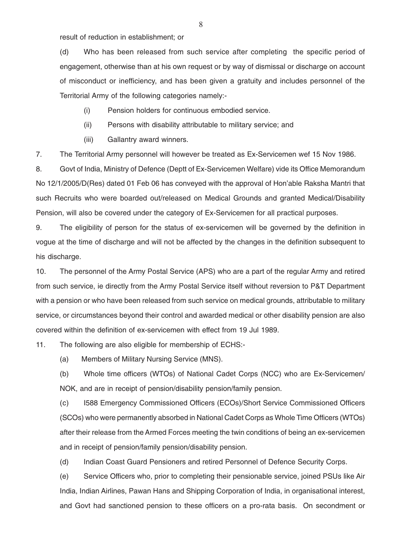result of reduction in establishment; or

(d) Who has been released from such service after completing the specific period of engagement, otherwise than at his own request or by way of dismissal or discharge on account of misconduct or inefficiency, and has been given a gratuity and includes personnel of the Territorial Army of the following categories namely:-

(i) Pension holders for continuous embodied service.

(ii) Persons with disability attributable to military service; and

(iii) Gallantry award winners.

7. The Territorial Army personnel will however be treated as Ex-Servicemen wef 15 Nov 1986.

8. Govt of India, Ministry of Defence (Deptt of Ex-Servicemen Welfare) vide its Office Memorandum No 12/1/2005/D(Res) dated 01 Feb 06 has conveyed with the approval of Hon'able Raksha Mantri that such Recruits who were boarded out/released on Medical Grounds and granted Medical/Disability Pension, will also be covered under the category of Ex-Servicemen for all practical purposes.

9. The eligibility of person for the status of ex-servicemen will be governed by the definition in vogue at the time of discharge and will not be affected by the changes in the definition subsequent to his discharge.

10. The personnel of the Army Postal Service (APS) who are a part of the regular Army and retired from such service, ie directly from the Army Postal Service itself without reversion to P&T Department with a pension or who have been released from such service on medical grounds, attributable to military service, or circumstances beyond their control and awarded medical or other disability pension are also covered within the definition of ex-servicemen with effect from 19 Jul 1989.

11. The following are also eligible for membership of ECHS:-

(a) Members of Military Nursing Service (MNS).

(b) Whole time officers (WTOs) of National Cadet Corps (NCC) who are Ex-Servicemen/ NOK, and are in receipt of pension/disability pension/family pension.

(c) I588 Emergency Commissioned Officers (ECOs)/Short Service Commissioned Officers (SCOs) who were permanently absorbed in National Cadet Corps as Whole Time Officers (WTOs) after their release from the Armed Forces meeting the twin conditions of being an ex-servicemen and in receipt of pension/family pension/disability pension.

(d) Indian Coast Guard Pensioners and retired Personnel of Defence Security Corps.

(e) Service Officers who, prior to completing their pensionable service, joined PSUs like Air India, Indian Airlines, Pawan Hans and Shipping Corporation of India, in organisational interest, and Govt had sanctioned pension to these officers on a pro-rata basis. On secondment or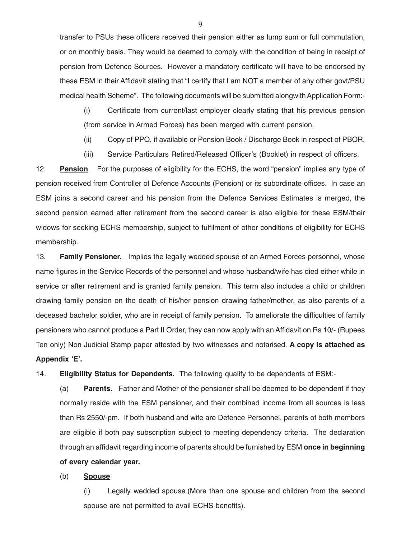transfer to PSUs these officers received their pension either as lump sum or full commutation, or on monthly basis. They would be deemed to comply with the condition of being in receipt of pension from Defence Sources. However a mandatory certificate will have to be endorsed by these ESM in their Affidavit stating that "I certify that I am NOT a member of any other govt/PSU medical health Scheme". The following documents will be submitted alongwith Application Form:-

(i) Certificate from current/last employer clearly stating that his previous pension (from service in Armed Forces) has been merged with current pension.

(ii) Copy of PPO, if available or Pension Book / Discharge Book in respect of PBOR.

(iii) Service Particulars Retired/Released Officer's (Booklet) in respect of officers.

12. **Pension**. For the purposes of eligibility for the ECHS, the word "pension" implies any type of pension received from Controller of Defence Accounts (Pension) or its subordinate offices. In case an ESM joins a second career and his pension from the Defence Services Estimates is merged, the second pension earned after retirement from the second career is also eligible for these ESM/their widows for seeking ECHS membership, subject to fulfilment of other conditions of eligibility for ECHS membership.

13. **Family Pensioner.** Implies the legally wedded spouse of an Armed Forces personnel, whose name figures in the Service Records of the personnel and whose husband/wife has died either while in service or after retirement and is granted family pension. This term also includes a child or children drawing family pension on the death of his/her pension drawing father/mother, as also parents of a deceased bachelor soldier, who are in receipt of family pension. To ameliorate the difficulties of family pensioners who cannot produce a Part II Order, they can now apply with an Affidavit on Rs 10/- (Rupees Ten only) Non Judicial Stamp paper attested by two witnesses and notarised. **A copy is attached as Appendix 'E'.**

14. **Eligibility Status for Dependents.** The following qualify to be dependents of ESM:-

(a) **Parents.** Father and Mother of the pensioner shall be deemed to be dependent if they normally reside with the ESM pensioner, and their combined income from all sources is less than Rs 2550/-pm. If both husband and wife are Defence Personnel, parents of both members are eligible if both pay subscription subject to meeting dependency criteria. The declaration through an affidavit regarding income of parents should be furnished by ESM **once in beginning of every calendar year.**

(b) **Spouse**

(i) Legally wedded spouse.(More than one spouse and children from the second spouse are not permitted to avail ECHS benefits).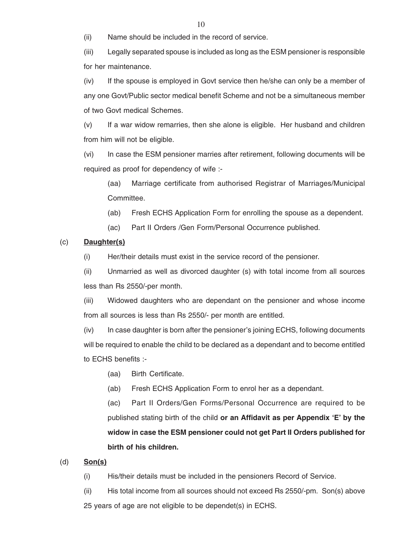(ii) Name should be included in the record of service.

(iii) Legally separated spouse is included as long as the ESM pensioner is responsible for her maintenance.

(iv) If the spouse is employed in Govt service then he/she can only be a member of any one Govt/Public sector medical benefit Scheme and not be a simultaneous member of two Govt medical Schemes.

(v) If a war widow remarries, then she alone is eligible. Her husband and children from him will not be eligible.

(vi) In case the ESM pensioner marries after retirement, following documents will be required as proof for dependency of wife :-

(aa) Marriage certificate from authorised Registrar of Marriages/Municipal Committee.

(ab) Fresh ECHS Application Form for enrolling the spouse as a dependent.

(ac) Part II Orders /Gen Form/Personal Occurrence published.

### (c) **Daughter(s)**

(i) Her/their details must exist in the service record of the pensioner.

(ii) Unmarried as well as divorced daughter (s) with total income from all sources less than Rs 2550/-per month.

(iii) Widowed daughters who are dependant on the pensioner and whose income from all sources is less than Rs 2550/- per month are entitled.

 $(iv)$  In case daughter is born after the pensioner's joining ECHS, following documents will be required to enable the child to be declared as a dependant and to become entitled to ECHS benefits :-

(aa) Birth Certificate.

(ab) Fresh ECHS Application Form to enrol her as a dependant.

(ac) Part II Orders/Gen Forms/Personal Occurrence are required to be published stating birth of the child **or an Affidavit as per Appendix 'E' by the widow in case the ESM pensioner could not get Part II Orders published for birth of his children.**

### (d) **Son(s)**

(i) His/their details must be included in the pensioners Record of Service.

(ii) His total income from all sources should not exceed Rs 2550/-pm. Son(s) above 25 years of age are not eligible to be dependet(s) in ECHS.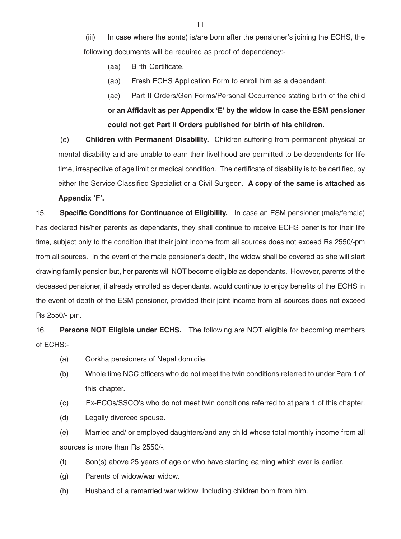$(iii)$  In case where the son(s) is/are born after the pensioner's joining the ECHS, the following documents will be required as proof of dependency:-

- (aa) Birth Certificate.
- (ab) Fresh ECHS Application Form to enroll him as a dependant.

(ac) Part II Orders/Gen Forms/Personal Occurrence stating birth of the child **or an Affidavit as per Appendix 'E' by the widow in case the ESM pensioner could not get Part II Orders published for birth of his children.**

(e) **Children with Permanent Disability.** Children suffering from permanent physical or mental disability and are unable to earn their livelihood are permitted to be dependents for life time, irrespective of age limit or medical condition. The certificate of disability is to be certified, by either the Service Classified Specialist or a Civil Surgeon. **A copy of the same is attached as Appendix 'F'.**

15. **Specific Conditions for Continuance of Eligibility.** In case an ESM pensioner (male/female) has declared his/her parents as dependants, they shall continue to receive ECHS benefits for their life time, subject only to the condition that their joint income from all sources does not exceed Rs 2550/-pm from all sources. In the event of the male pensioner's death, the widow shall be covered as she will start drawing family pension but, her parents will NOT become eligible as dependants. However, parents of the deceased pensioner, if already enrolled as dependants, would continue to enjoy benefits of the ECHS in the event of death of the ESM pensioner, provided their joint income from all sources does not exceed Rs 2550/- pm.

16. **Persons NOT Eligible under ECHS.** The following are NOT eligible for becoming members of ECHS:-

- (a) Gorkha pensioners of Nepal domicile.
- (b) Whole time NCC officers who do not meet the twin conditions referred to under Para 1 of this chapter.
- (c) Ex-ECOs/SSCO's who do not meet twin conditions referred to at para 1 of this chapter.
- (d) Legally divorced spouse.

(e) Married and/ or employed daughters/and any child whose total monthly income from all sources is more than Rs 2550/-.

- (f) Son(s) above 25 years of age or who have starting earning which ever is earlier.
- (g) Parents of widow/war widow.
- (h) Husband of a remarried war widow. Including children born from him.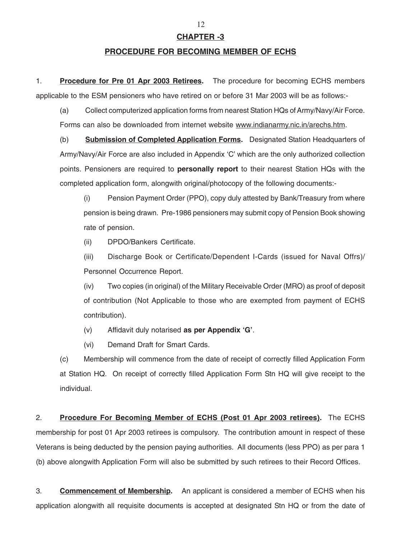## **CHAPTER -3**

#### **PROCEDURE FOR BECOMING MEMBER OF ECHS**

1. **Procedure for Pre 01 Apr 2003 Retirees.** The procedure for becoming ECHS members applicable to the ESM pensioners who have retired on or before 31 Mar 2003 will be as follows:-

(a) Collect computerized application forms from nearest Station HQs of Army/Navy/Air Force. Forms can also be downloaded from internet website www.indianarmy.nic.in/arechs.htm.

(b) **Submission of Completed Application Forms.** Designated Station Headquarters of Army/Navy/Air Force are also included in Appendix 'C' which are the only authorized collection points. Pensioners are required to **personally report** to their nearest Station HQs with the completed application form, alongwith original/photocopy of the following documents:-

(i) Pension Payment Order (PPO), copy duly attested by Bank/Treasury from where pension is being drawn. Pre-1986 pensioners may submit copy of Pension Book showing rate of pension.

(ii) DPDO/Bankers Certificate.

(iii) Discharge Book or Certificate/Dependent I-Cards (issued for Naval Offrs)/ Personnel Occurrence Report.

(iv) Two copies (in original) of the Military Receivable Order (MRO) as proof of deposit of contribution (Not Applicable to those who are exempted from payment of ECHS contribution).

- (v) Affidavit duly notarised **as per Appendix 'G'**.
- (vi) Demand Draft for Smart Cards.

(c) Membership will commence from the date of receipt of correctly filled Application Form at Station HQ. On receipt of correctly filled Application Form Stn HQ will give receipt to the individual.

2. **Procedure For Becoming Member of ECHS (Post 01 Apr 2003 retirees).** The ECHS membership for post 01 Apr 2003 retirees is compulsory. The contribution amount in respect of these Veterans is being deducted by the pension paying authorities. All documents (less PPO) as per para 1 (b) above alongwith Application Form will also be submitted by such retirees to their Record Offices.

3. **Commencement of Membership.** An applicant is considered a member of ECHS when his application alongwith all requisite documents is accepted at designated Stn HQ or from the date of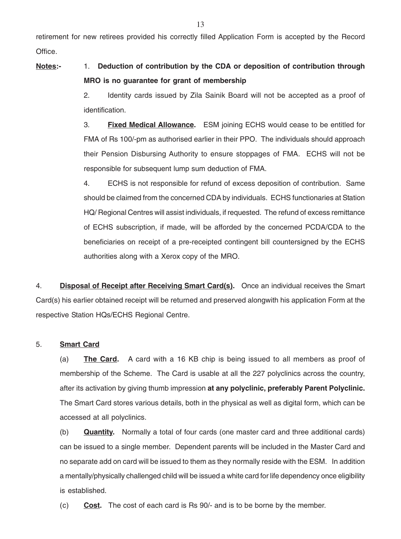retirement for new retirees provided his correctly filled Application Form is accepted by the Record Office.

## **Notes:-** 1. **Deduction of contribution by the CDA or deposition of contribution through MRO is no guarantee for grant of membership**

2. Identity cards issued by Zila Sainik Board will not be accepted as a proof of identification.

3. **Fixed Medical Allowance.** ESM joining ECHS would cease to be entitled for FMA of Rs 100/-pm as authorised earlier in their PPO. The individuals should approach their Pension Disbursing Authority to ensure stoppages of FMA. ECHS will not be responsible for subsequent lump sum deduction of FMA.

4. ECHS is not responsible for refund of excess deposition of contribution. Same should be claimed from the concerned CDA by individuals. ECHS functionaries at Station HQ/ Regional Centres will assist individuals, if requested. The refund of excess remittance of ECHS subscription, if made, will be afforded by the concerned PCDA/CDA to the beneficiaries on receipt of a pre-receipted contingent bill countersigned by the ECHS authorities along with a Xerox copy of the MRO.

4. **Disposal of Receipt after Receiving Smart Card(s).** Once an individual receives the Smart Card(s) his earlier obtained receipt will be returned and preserved alongwith his application Form at the respective Station HQs/ECHS Regional Centre.

### 5. **Smart Card**

(a) **The Card.** A card with a 16 KB chip is being issued to all members as proof of membership of the Scheme. The Card is usable at all the 227 polyclinics across the country, after its activation by giving thumb impression **at any polyclinic, preferably Parent Polyclinic.** The Smart Card stores various details, both in the physical as well as digital form, which can be accessed at all polyclinics.

(b) **Quantity.** Normally a total of four cards (one master card and three additional cards) can be issued to a single member. Dependent parents will be included in the Master Card and no separate add on card will be issued to them as they normally reside with the ESM. In addition a mentally/physically challenged child will be issued a white card for life dependency once eligibility is established.

(c) **Cost.** The cost of each card is Rs 90/- and is to be borne by the member.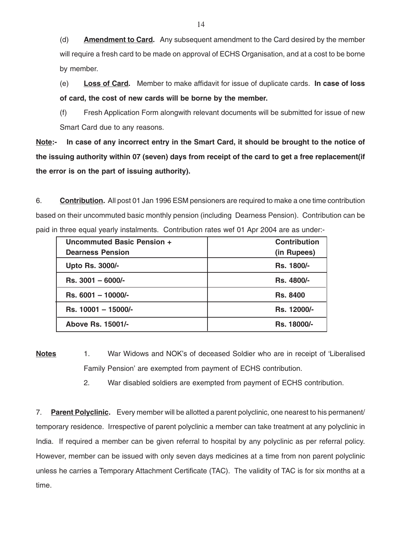(d) **Amendment to Card.** Any subsequent amendment to the Card desired by the member will require a fresh card to be made on approval of ECHS Organisation, and at a cost to be borne by member.

(e) **Loss of Card.** Member to make affidavit for issue of duplicate cards. **In case of loss of card, the cost of new cards will be borne by the member.**

(f) Fresh Application Form alongwith relevant documents will be submitted for issue of new Smart Card due to any reasons.

**Note:- In case of any incorrect entry in the Smart Card, it should be brought to the notice of the issuing authority within 07 (seven) days from receipt of the card to get a free replacement(if the error is on the part of issuing authority).**

6. **Contribution.** All post 01 Jan 1996 ESM pensioners are required to make a one time contribution based on their uncommuted basic monthly pension (including Dearness Pension). Contribution can be paid in three equal yearly instalments. Contribution rates wef 01 Apr 2004 are as under:-

| Uncommuted Basic Pension + | <b>Contribution</b> |
|----------------------------|---------------------|
| <b>Dearness Pension</b>    | (in Rupees)         |
| Upto Rs. 3000/-            | <b>Rs. 1800/-</b>   |
| $Rs. 3001 - 6000/$         | <b>Rs. 4800/-</b>   |
| Rs. 6001 - 10000/-         | <b>Rs. 8400</b>     |
| Rs. 10001 - 15000/-        | Rs. 12000/-         |
| Above Rs. 15001/-          | Rs. 18000/-         |

**Notes** 1. War Widows and NOK's of deceased Soldier who are in receipt of 'Liberalised Family Pension' are exempted from payment of ECHS contribution.

2. War disabled soldiers are exempted from payment of ECHS contribution.

7. **Parent Polyclinic.** Every member will be allotted a parent polyclinic, one nearest to his permanent/ temporary residence. Irrespective of parent polyclinic a member can take treatment at any polyclinic in India. If required a member can be given referral to hospital by any polyclinic as per referral policy. However, member can be issued with only seven days medicines at a time from non parent polyclinic unless he carries a Temporary Attachment Certificate (TAC). The validity of TAC is for six months at a time.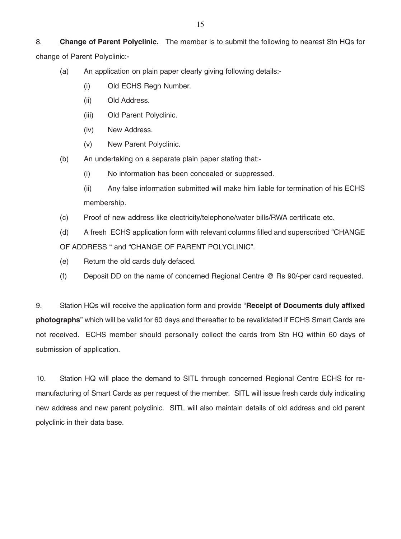8. **Change of Parent Polyclinic.** The member is to submit the following to nearest Stn HQs for change of Parent Polyclinic:-

- (a) An application on plain paper clearly giving following details:-
	- (i) Old ECHS Regn Number.
	- (ii) Old Address.
	- (iii) Old Parent Polyclinic.
	- (iv) New Address.
	- (v) New Parent Polyclinic.
- (b) An undertaking on a separate plain paper stating that:-
	- (i) No information has been concealed or suppressed.
	- (ii) Any false information submitted will make him liable for termination of his ECHS membership.
- (c) Proof of new address like electricity/telephone/water bills/RWA certificate etc.
- (d) A fresh ECHS application form with relevant columns filled and superscribed "CHANGE OF ADDRESS " and "CHANGE OF PARENT POLYCLINIC".
- (e) Return the old cards duly defaced.
- (f) Deposit DD on the name of concerned Regional Centre @ Rs 90/-per card requested.

9. Station HQs will receive the application form and provide "**Receipt of Documents duly affixed photographs**" which will be valid for 60 days and thereafter to be revalidated if ECHS Smart Cards are not received. ECHS member should personally collect the cards from Stn HQ within 60 days of submission of application.

10. Station HQ will place the demand to SITL through concerned Regional Centre ECHS for remanufacturing of Smart Cards as per request of the member. SITL will issue fresh cards duly indicating new address and new parent polyclinic. SITL will also maintain details of old address and old parent polyclinic in their data base.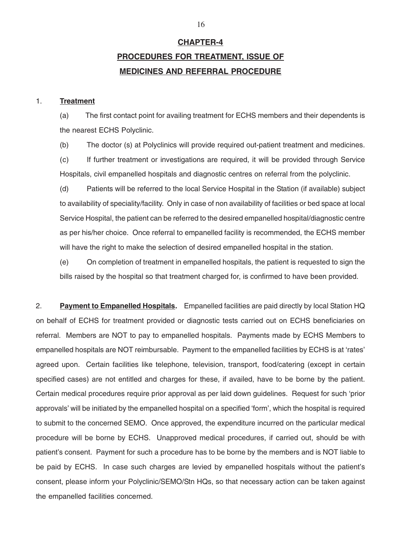## **CHAPTER-4**

## **PROCEDURES FOR TREATMENT, ISSUE OF MEDICINES AND REFERRAL PROCEDURE**

#### 1. **Treatment**

(a) The first contact point for availing treatment for ECHS members and their dependents is the nearest ECHS Polyclinic.

(b) The doctor (s) at Polyclinics will provide required out-patient treatment and medicines.

(c) If further treatment or investigations are required, it will be provided through Service Hospitals, civil empanelled hospitals and diagnostic centres on referral from the polyclinic.

(d) Patients will be referred to the local Service Hospital in the Station (if available) subject to availability of speciality/facility. Only in case of non availability of facilities or bed space at local Service Hospital, the patient can be referred to the desired empanelled hospital/diagnostic centre as per his/her choice. Once referral to empanelled facility is recommended, the ECHS member will have the right to make the selection of desired empanelled hospital in the station.

(e) On completion of treatment in empanelled hospitals, the patient is requested to sign the bills raised by the hospital so that treatment charged for, is confirmed to have been provided.

2. **Payment to Empanelled Hospitals.** Empanelled facilities are paid directly by local Station HQ on behalf of ECHS for treatment provided or diagnostic tests carried out on ECHS beneficiaries on referral. Members are NOT to pay to empanelled hospitals. Payments made by ECHS Members to empanelled hospitals are NOT reimbursable. Payment to the empanelled facilities by ECHS is at 'rates' agreed upon. Certain facilities like telephone, television, transport, food/catering (except in certain specified cases) are not entitled and charges for these, if availed, have to be borne by the patient. Certain medical procedures require prior approval as per laid down guidelines. Request for such 'prior approvals' will be initiated by the empanelled hospital on a specified 'form', which the hospital is required to submit to the concerned SEMO. Once approved, the expenditure incurred on the particular medical procedure will be borne by ECHS. Unapproved medical procedures, if carried out, should be with patient's consent. Payment for such a procedure has to be borne by the members and is NOT liable to be paid by ECHS. In case such charges are levied by empanelled hospitals without the patient's consent, please inform your Polyclinic/SEMO/Stn HQs, so that necessary action can be taken against the empanelled facilities concerned.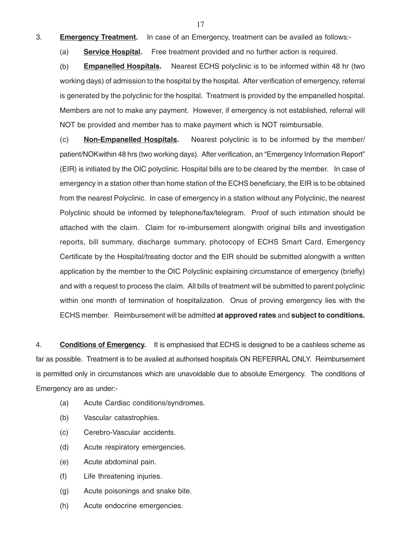3. **Emergency Treatment.** In case of an Emergency, treatment can be availed as follows:-

(a) **Service Hospital.** Free treatment provided and no further action is required.

(b) **Empanelled Hospitals.** Nearest ECHS polyclinic is to be informed within 48 hr (two working days) of admission to the hospital by the hospital. After verification of emergency, referral is generated by the polyclinic for the hospital. Treatment is provided by the empanelled hospital. Members are not to make any payment. However, if emergency is not established, referral will NOT be provided and member has to make payment which is NOT reimbursable.

(c) **Non-Empanelled Hospitals.** Nearest polyclinic is to be informed by the member/ patient/NOKwithin 48 hrs (two working days). After verification, an "Emergency Information Report" (EIR) is initiated by the OIC polyclinic. Hospital bills are to be cleared by the member. In case of emergency in a station other than home station of the ECHS beneficiary, the EIR is to be obtained from the nearest Polyclinic. In case of emergency in a station without any Polyclinic, the nearest Polyclinic should be informed by telephone/fax/telegram. Proof of such intimation should be attached with the claim. Claim for re-imbursement alongwith original bills and investigation reports, bill summary, discharge summary, photocopy of ECHS Smart Card, Emergency Certificate by the Hospital/treating doctor and the EIR should be submitted alongwith a written application by the member to the OIC Polyclinic explaining circumstance of emergency (briefly) and with a request to process the claim. All bills of treatment will be submitted to parent polyclinic within one month of termination of hospitalization. Onus of proving emergency lies with the ECHS member. Reimbursement will be admitted **at approved rates** and **subject to conditions.**

4. **Conditions of Emergency.** It is emphasised that ECHS is designed to be a cashless scheme as far as possible. Treatment is to be availed at authorised hospitals ON REFERRAL ONLY. Reimbursement is permitted only in circumstances which are unavoidable due to absolute Emergency. The conditions of Emergency are as under:-

- (a) Acute Cardiac conditions/syndromes.
- (b) Vascular catastrophies.
- (c) Cerebro-Vascular accidents.
- (d) Acute respiratory emergencies.
- (e) Acute abdominal pain.
- (f) Life threatening injuries.
- (g) Acute poisonings and snake bite.
- (h) Acute endocrine emergencies.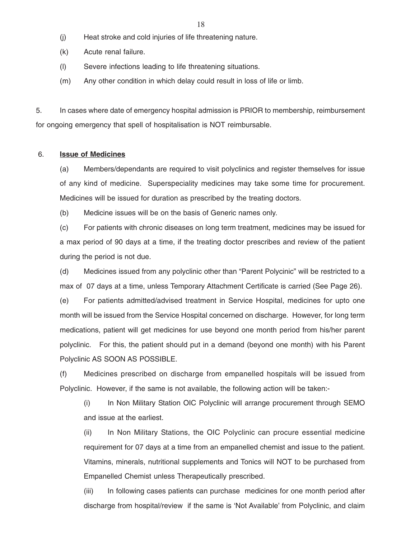- (j) Heat stroke and cold injuries of life threatening nature.
- (k) Acute renal failure.
- (l) Severe infections leading to life threatening situations.
- (m) Any other condition in which delay could result in loss of life or limb.

5. In cases where date of emergency hospital admission is PRIOR to membership, reimbursement for ongoing emergency that spell of hospitalisation is NOT reimbursable.

#### 6. **Issue of Medicines**

(a) Members/dependants are required to visit polyclinics and register themselves for issue of any kind of medicine. Superspeciality medicines may take some time for procurement. Medicines will be issued for duration as prescribed by the treating doctors.

(b) Medicine issues will be on the basis of Generic names only.

(c) For patients with chronic diseases on long term treatment, medicines may be issued for a max period of 90 days at a time, if the treating doctor prescribes and review of the patient during the period is not due.

(d) Medicines issued from any polyclinic other than "Parent Polycinic" will be restricted to a max of 07 days at a time, unless Temporary Attachment Certificate is carried (See Page 26).

(e) For patients admitted/advised treatment in Service Hospital, medicines for upto one month will be issued from the Service Hospital concerned on discharge. However, for long term medications, patient will get medicines for use beyond one month period from his/her parent polyclinic. For this, the patient should put in a demand (beyond one month) with his Parent Polyclinic AS SOON AS POSSIBLE.

(f) Medicines prescribed on discharge from empanelled hospitals will be issued from Polyclinic. However, if the same is not available, the following action will be taken:-

(i) In Non Military Station OIC Polyclinic will arrange procurement through SEMO and issue at the earliest.

(ii) In Non Military Stations, the OIC Polyclinic can procure essential medicine requirement for 07 days at a time from an empanelled chemist and issue to the patient. Vitamins, minerals, nutritional supplements and Tonics will NOT to be purchased from Empanelled Chemist unless Therapeutically prescribed.

(iii) In following cases patients can purchase medicines for one month period after discharge from hospital/review if the same is 'Not Available' from Polyclinic, and claim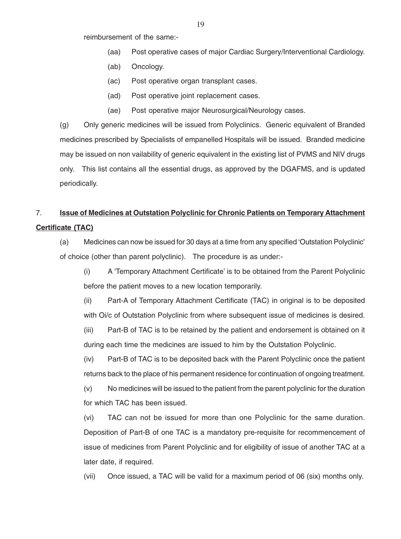reimbursement of the same:-

- (aa) Post operative cases of major Cardiac Surgery/Interventional Cardiology.
- (ab) Oncology.
- (ac) Post operative organ transplant cases.
- (ad) Post operative joint replacement cases.
- (ae) Post operative major Neurosurgical/Neurology cases.

(g) Only generic medicines will be issued from Polyclinics. Generic equivalent of Branded medicines prescribed by Specialists of empanelled Hospitals will be issued. Branded medicine may be issued on non vailability of generic equivalent in the existing list of PVMS and NIV drugs only. This list contains all the essential drugs, as approved by the DGAFMS, and is updated periodically.

## 7. **Issue of Medicines at Outstation Polyclinic for Chronic Patients on Temporary Attachment Certificate (TAC)**

(a) Medicines can now be issued for 30 days at a time from any specified 'Outstation Polyclinic' of choice (other than parent polyclinic). The procedure is as under:-

(i) A 'Temporary Attachment Certificate' is to be obtained from the Parent Polyclinic before the patient moves to a new location temporarily.

(ii) Part-A of Temporary Attachment Certificate (TAC) in original is to be deposited with Oi/c of Outstation Polyclinic from where subsequent issue of medicines is desired.

(iii) Part-B of TAC is to be retained by the patient and endorsement is obtained on it during each time the medicines are issued to him by the Outstation Polyclinic.

(iv) Part-B of TAC is to be deposited back with the Parent Polyclinic once the patient returns back to the place of his permanent residence for continuation of ongoing treatment.

(v) No medicines will be issued to the patient from the parent polyclinic for the duration for which TAC has been issued.

(vi) TAC can not be issued for more than one Polyclinic for the same duration. Deposition of Part-B of one TAC is a mandatory pre-requisite for recommencement of issue of medicines from Parent Polyclinic and for eligibility of issue of another TAC at a later date, if required.

(vii) Once issued, a TAC will be valid for a maximum period of 06 (six) months only.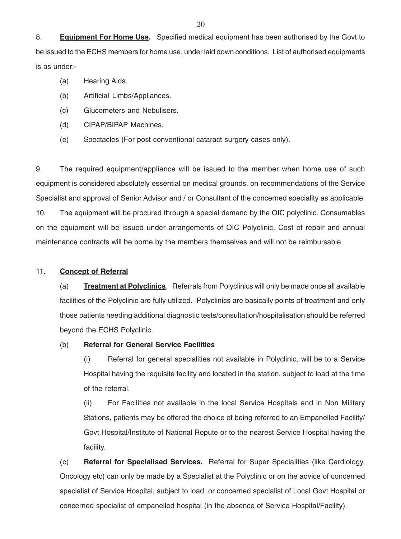8. **Equipment For Home Use.** Specified medical equipment has been authorised by the Govt to be issued to the ECHS members for home use, under laid down conditions. List of authorised equipments is as under:-

- (a) Hearing Aids.
- (b) Artificial Limbs/Appliances.
- (c) Glucometers and Nebulisers.
- (d) CIPAP/BIPAP Machines.
- (e) Spectacles (For post conventional cataract surgery cases only).

9. The required equipment/appliance will be issued to the member when home use of such equipment is considered absolutely essential on medical grounds, on recommendations of the Service Specialist and approval of Senior Advisor and / or Consultant of the concerned speciality as applicable. 10. The equipment will be procured through a special demand by the OIC polyclinic. Consumables on the equipment will be issued under arrangements of OIC Polyclinic. Cost of repair and annual maintenance contracts will be borne by the members themselves and will not be reimbursable.

### 11. **Concept of Referral**

(a) **Treatment at Polyclinics**. Referrals from Polyclinics will only be made once all available facilities of the Polyclinic are fully utilized. Polyclinics are basically points of treatment and only those patients needing additional diagnostic tests/consultation/hospitalisation should be referred beyond the ECHS Polyclinic.

### (b) **Referral for General Service Facilities**

(i) Referral for general specialities not available in Polyclinic, will be to a Service Hospital having the requisite facility and located in the station, subject to load at the time of the referral.

(ii) For Facilities not available in the local Service Hospitals and in Non Military Stations, patients may be offered the choice of being referred to an Empanelled Facility/ Govt Hospital/Institute of National Repute or to the nearest Service Hospital having the facility.

(c) **Referral for Specialised Services.** Referral for Super Specialities (like Cardiology, Oncology etc) can only be made by a Specialist at the Polyclinic or on the advice of concerned specialist of Service Hospital, subject to load, or concerned specialist of Local Govt Hospital or concerned specialist of empanelled hospital (in the absence of Service Hospital/Facility).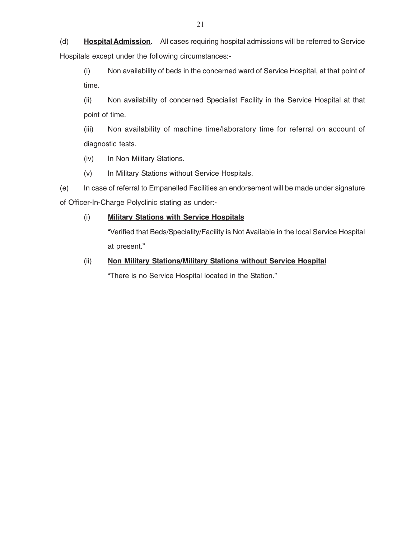(d) **Hospital Admission.** All cases requiring hospital admissions will be referred to Service Hospitals except under the following circumstances:-

(i) Non availability of beds in the concerned ward of Service Hospital, at that point of time.

(ii) Non availability of concerned Specialist Facility in the Service Hospital at that point of time.

(iii) Non availability of machine time/laboratory time for referral on account of diagnostic tests.

(iv) In Non Military Stations.

(v) In Military Stations without Service Hospitals.

(e) In case of referral to Empanelled Facilities an endorsement will be made under signature of Officer-In-Charge Polyclinic stating as under:-

## (i) **Military Stations with Service Hospitals**

"Verified that Beds/Speciality/Facility is Not Available in the local Service Hospital at present."

## (ii) **Non Military Stations/Military Stations without Service Hospital**

"There is no Service Hospital located in the Station."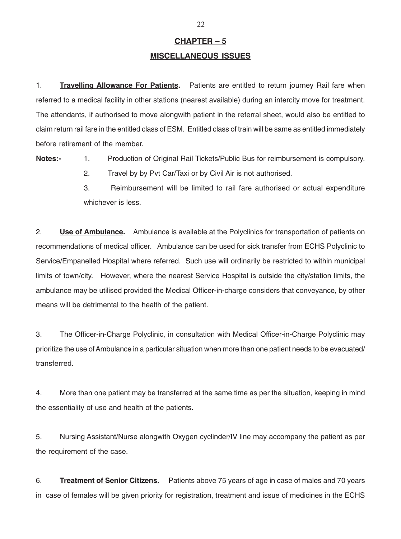## **CHAPTER – 5 MISCELLANEOUS ISSUES**

1. **Travelling Allowance For Patients.** Patients are entitled to return journey Rail fare when referred to a medical facility in other stations (nearest available) during an intercity move for treatment. The attendants, if authorised to move alongwith patient in the referral sheet, would also be entitled to claim return rail fare in the entitled class of ESM. Entitled class of train will be same as entitled immediately before retirement of the member.

**Notes:-** 1. Production of Original Rail Tickets/Public Bus for reimbursement is compulsory.

2. Travel by by Pvt Car/Taxi or by Civil Air is not authorised.

3. Reimbursement will be limited to rail fare authorised or actual expenditure whichever is less.

2. **Use of Ambulance.** Ambulance is available at the Polyclinics for transportation of patients on recommendations of medical officer. Ambulance can be used for sick transfer from ECHS Polyclinic to Service/Empanelled Hospital where referred. Such use will ordinarily be restricted to within municipal limits of town/city. However, where the nearest Service Hospital is outside the city/station limits, the ambulance may be utilised provided the Medical Officer-in-charge considers that conveyance, by other means will be detrimental to the health of the patient.

3. The Officer-in-Charge Polyclinic, in consultation with Medical Officer-in-Charge Polyclinic may prioritize the use of Ambulance in a particular situation when more than one patient needs to be evacuated/ transferred.

4. More than one patient may be transferred at the same time as per the situation, keeping in mind the essentiality of use and health of the patients.

5. Nursing Assistant/Nurse alongwith Oxygen cyclinder/IV line may accompany the patient as per the requirement of the case.

6. **Treatment of Senior Citizens.** Patients above 75 years of age in case of males and 70 years in case of females will be given priority for registration, treatment and issue of medicines in the ECHS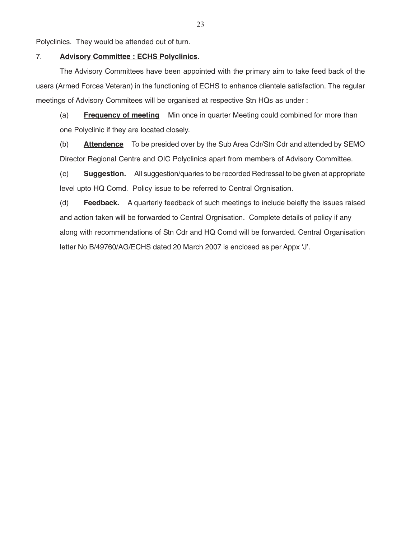Polyclinics. They would be attended out of turn.

#### 7. **Advisory Committee : ECHS Polyclinics**.

The Advisory Committees have been appointed with the primary aim to take feed back of the users (Armed Forces Veteran) in the functioning of ECHS to enhance clientele satisfaction. The regular meetings of Advisory Commitees will be organised at respective Stn HQs as under :

(a) **Frequency of meeting** Min once in quarter Meeting could combined for more than one Polyclinic if they are located closely.

(b) **Attendence** To be presided over by the Sub Area Cdr/Stn Cdr and attended by SEMO Director Regional Centre and OIC Polyclinics apart from members of Advisory Committee.

(c) **Suggestion.** All suggestion/quaries to be recorded Redressal to be given at appropriate level upto HQ Comd. Policy issue to be referred to Central Orgnisation.

(d) **Feedback.** A quarterly feedback of such meetings to include beiefly the issues raised and action taken will be forwarded to Central Orgnisation. Complete details of policy if any along with recommendations of Stn Cdr and HQ Comd will be forwarded. Central Organisation letter No B/49760/AG/ECHS dated 20 March 2007 is enclosed as per Appx 'J'.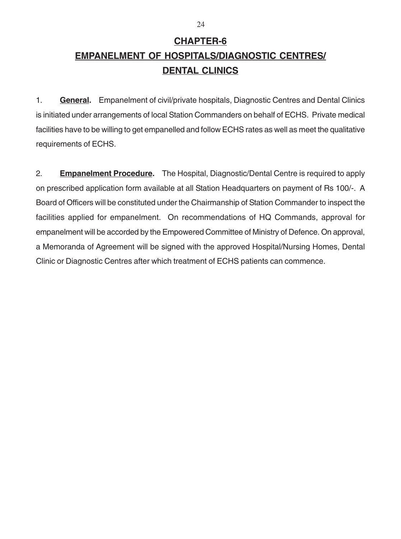## **CHAPTER-6 EMPANELMENT OF HOSPITALS/DIAGNOSTIC CENTRES/ DENTAL CLINICS**

1. **General.** Empanelment of civil/private hospitals, Diagnostic Centres and Dental Clinics is initiated under arrangements of local Station Commanders on behalf of ECHS. Private medical facilities have to be willing to get empanelled and follow ECHS rates as well as meet the qualitative requirements of ECHS.

2. **Empanelment Procedure.** The Hospital, Diagnostic/Dental Centre is required to apply on prescribed application form available at all Station Headquarters on payment of Rs 100/-. A Board of Officers will be constituted under the Chairmanship of Station Commander to inspect the facilities applied for empanelment. On recommendations of HQ Commands, approval for empanelment will be accorded by the Empowered Committee of Ministry of Defence. On approval, a Memoranda of Agreement will be signed with the approved Hospital/Nursing Homes, Dental Clinic or Diagnostic Centres after which treatment of ECHS patients can commence.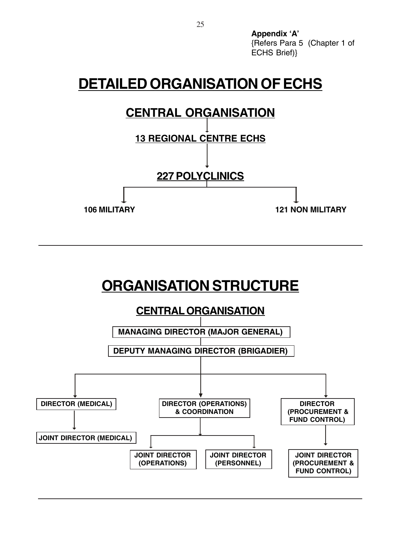**Appendix 'A'** {Refers Para 5 (Chapter 1 of ECHS Brief)}

## **DETAILED ORGANISATION OF ECHS**

# **CENTRAL ORGANISATION**



**106 MILITARY 121 NON MILITARY**

# **ORGANISATION STRUCTURE**

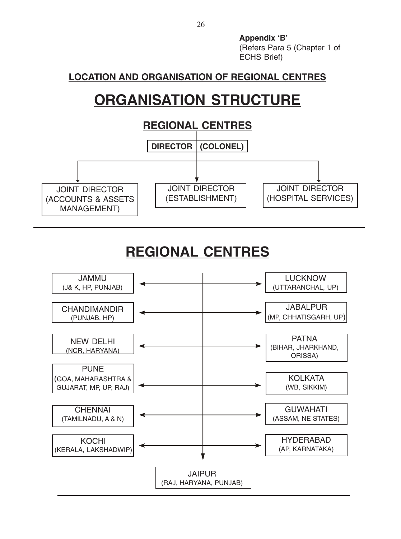**Appendix 'B'** (Refers Para 5 (Chapter 1 of ECHS Brief)

## **LOCATION AND ORGANISATION OF REGIONAL CENTRES**

# **ORGANISATION STRUCTURE**



# **REGIONAL CENTRES**

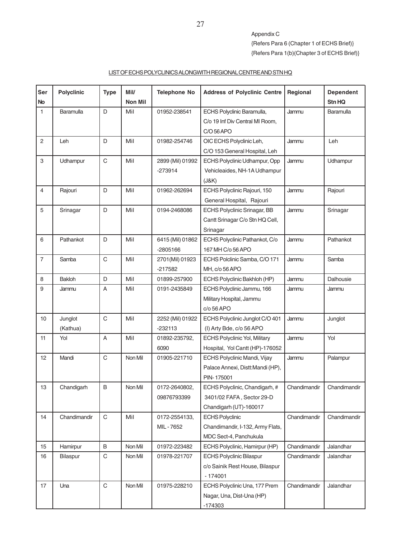Appendix C {Refers Para 6 (Chapter 1 of ECHS Brief)} {Refers Para 1(b)(Chapter 3 of ECHS Brief)}

### LIST OF ECHS POLYCLINICS ALONGWITH REGIONAL CENTRE AND STN HQ

| Ser<br><b>No</b> | <b>Polyclinic</b>   | <b>Type</b>  | Mil/<br><b>Non Mil</b> | <b>Telephone No</b>            | <b>Address of Polyclinic Centre</b>                                                   | Regional     | <b>Dependent</b><br>Stn HQ |
|------------------|---------------------|--------------|------------------------|--------------------------------|---------------------------------------------------------------------------------------|--------------|----------------------------|
| $\mathbf{1}$     | Baramulla           | D            | Mil                    | 01952-238541                   | ECHS Polyclinic Baramulla,<br>C/o 19 Inf Div Central MI Room,<br>C/O 56 APO           | Jammu        | Baramulla                  |
| 2                | Leh                 | D            | Mil                    | 01982-254746                   | OIC ECHS Polyclinic Leh,<br>C/O 153 General Hospital, Leh                             | Jammu        | Leh                        |
| 3                | Udhampur            | $\mathsf C$  | Mil                    | 2899 (Mil) 01992<br>$-273914$  | ECHS Polyclinic Udhampur, Opp<br>Vehicleaides, NH-1A Udhampur<br>(J&K)                | Jammu        | Udhampur                   |
| $\overline{4}$   | Rajouri             | D            | Mil                    | 01962-262694                   | ECHS Polyclinic Rajouri, 150<br>General Hospital, Rajouri                             | Jammu        | Rajouri                    |
| 5                | Srinagar            | D            | Mil                    | 0194-2468086                   | ECHS Polyclinic Srinagar, BB<br>Cantt Srinagar C/o Stn HQ Cell,<br>Srinagar           | Jammu        | Srinagar                   |
| 6                | Pathankot           | D            | Mil                    | 6415 (Mil) 01862<br>$-2805166$ | ECHS Polyclinic Pathankot, C/o<br>167 MH C/o 56 APO                                   | Jammu        | Pathankot                  |
| $\overline{7}$   | Samba               | $\mathsf{C}$ | Mil                    | 2701(Mil) 01923<br>$-217582$   | ECHS Polclinic Samba, C/O 171<br>MH, c/o 56 APO                                       | Jammu        | Samba                      |
| 8                | Bakloh              | D            | Mil                    | 01899-257900                   | ECHS Polyclinic Bakhloh (HP)                                                          | Jammu        | Dalhousie                  |
| 9                | Jammu               | A            | Mil                    | 0191-2435849                   | ECHS Polyclinic Jammu, 166<br>Military Hospital, Jammu<br>c/o 56 APO                  | Jammu        | Jammu                      |
| 10               | Junglot<br>(Kathua) | C            | Mil                    | 2252 (Mil) 01922<br>$-232113$  | ECHS Polyclinic Junglot C/O 401<br>(I) Arty Bde, c/o 56 APO                           | Jammu        | Junglot                    |
| 11               | Yol                 | A            | Mil                    | 01892-235792,<br>6090          | <b>ECHS Polyclinic Yol, Military</b><br>Hospital, Yol Cantt (HP)-176052               | Jammu        | Yol                        |
| 12               | Mandi               | C            | Non Mil                | 01905-221710                   | ECHS Polyclinic Mandi, Vijay<br>Palace Annexi, Distt: Mandi (HP),<br>PIN-175001       | Jammu        | Palampur                   |
| 13               | Chandigarh          | B            | Non Mil                | 0172-2640802,<br>09876793399   | ECHS Polyclinic, Chandigarh, #<br>3401/02 FAFA, Sector 29-D<br>Chandigarh (UT)-160017 | Chandimandir | Chandimandir               |
| 14               | Chandimandir        | C            | Mil                    | 0172-2554133,<br>MIL-7652      | <b>ECHS Polyclinic</b><br>Chandimandir, I-132, Army Flats,<br>MDC Sect-4, Panchukula  | Chandimandir | Chandimandir               |
| 15               | Hamirpur            | B            | Non Mil                | 01972-223482                   | ECHS Polyclinic, Hamirpur (HP)                                                        | Chandimandir | Jalandhar                  |
| 16               | Bilaspur            | C            | Non Mil                | 01978-221707                   | <b>ECHS Polyclinic Bilaspur</b><br>c/o Sainik Rest House, Bilaspur<br>$-174001$       | Chandimandir | Jalandhar                  |
| 17               | Una                 | $\mathbf C$  | Non Mil                | 01975-228210                   | ECHS Polyclinic Una, 177 Prem<br>Nagar, Una, Dist-Una (HP)<br>$-174303$               | Chandimandir | Jalandhar                  |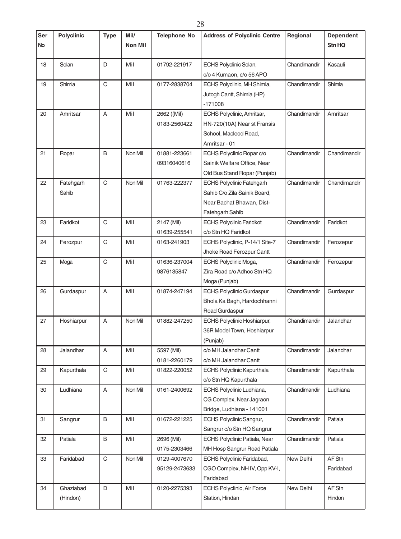| Ser<br><b>No</b> | <b>Polyclinic</b>     | <b>Type</b>               | Mil/<br>Non Mil | <b>Telephone No</b>           | <b>Address of Polyclinic Centre</b>                                                                              | Regional     | <b>Dependent</b><br><b>Stn HQ</b> |
|------------------|-----------------------|---------------------------|-----------------|-------------------------------|------------------------------------------------------------------------------------------------------------------|--------------|-----------------------------------|
| 18               | Solan                 | D                         | Mil             | 01792-221917                  | ECHS Polyclinic Solan,<br>c/o 4 Kumaon, c/o 56 APO                                                               | Chandimandir | Kasauli                           |
| 19               | Shimla                | $\mathsf{C}$              | Mil             | 0177-2838704                  | ECHS Polyclinic, MH Shimla,<br>Jutogh Cantt, Shimla (HP)<br>$-171008$                                            | Chandimandir | Shimla                            |
| 20               | Amritsar              | $\overline{A}$            | Mil             | 2662 ((Mil)<br>0183-2560422   | ECHS Polyclinic, Amritsar,<br>HN-720(10A) Near st Fransis<br>School, Macleod Road,<br>Amritsar - 01              | Chandimandir | Amritsar                          |
| 21               | Ropar                 | B                         | Non Mil         | 01881-223661<br>09316040616   | ECHS Polyclinic Ropar c/o<br>Sainik Welfare Office, Near<br>Old Bus Stand Ropar (Punjab)                         | Chandimandir | Chandimandir                      |
| 22               | Fatehgarh<br>Sahib    | $\mathsf C$               | Non Mil         | 01763-222377                  | <b>ECHS Polyclinic Fatehgarh</b><br>Sahib C/o Zila Sainik Board,<br>Near Bachat Bhawan, Dist-<br>Fatehgarh Sahib | Chandimandir | Chandimandir                      |
| 23               | Faridkot              | $\mathsf C$               | Mil             | 2147 (Mil)<br>01639-255541    | <b>ECHS Polyclinic Faridkot</b><br>c/o Stn HQ Faridkot                                                           | Chandimandir | Faridkot                          |
| 24               | Ferozpur              | C                         | Mil             | 0163-241903                   | ECHS Polyclinic, P-14/1 Site-7<br>Jhoke Road Ferozpur Cantt                                                      | Chandimandir | Ferozepur                         |
| 25               | Moga                  | $\mathsf C$               | Mil             | 01636-237004<br>9876135847    | ECHS Polyclinic Moga,<br>Zira Road c/o Adhoc Stn HQ<br>Moga (Punjab)                                             | Chandimandir | Ferozepur                         |
| 26               | Gurdaspur             | A                         | Mil             | 01874-247194                  | <b>ECHS Polyclinic Gurdaspur</b><br>Bhola Ka Bagh, Hardochhanni<br>Road Gurdaspur                                | Chandimandir | Gurdaspur                         |
| 27               | Hoshiarpur            | A                         | Non Mil         | 01882-247250                  | ECHS Polyclinic Hoshiarpur,<br>36R Model Town, Hoshiarpur<br>(Punjab)                                            | Chandimandir | Jalandhar                         |
| 28               | Jalandhar             | $\boldsymbol{\mathsf{A}}$ | Mil             | 5597 (Mil)<br>0181-2260179    | c/o MH Jalandhar Cantt<br>c/o MH Jalandhar Cantt                                                                 | Chandimandir | Jalandhar                         |
| 29               | Kapurthala            | $\mathsf C$               | Mil             | 01822-220052                  | ECHS Polyclinic Kapurthala<br>c/o Stn HQ Kapurthala                                                              | Chandimandir | Kapurthala                        |
| 30               | Ludhiana              | A                         | Non Mil         | 0161-2400692                  | ECHS Polyclinic Ludhiana,<br>CG Complex, Near Jagraon<br>Bridge, Ludhiana - 141001                               | Chandimandir | Ludhiana                          |
| 31               | Sangrur               | B                         | Mil             | 01672-221225                  | ECHS Polyclinic Sangrur,<br>Sangrur c/o Stn HQ Sangrur                                                           | Chandimandir | Patiala                           |
| 32               | Patiala               | B                         | Mil             | 2696 (Mil)<br>0175-2303466    | ECHS Polyclinic Patiala, Near<br>MH Hosp Sangrur Road Patiala                                                    | Chandimandir | Patiala                           |
| 33               | Faridabad             | $\mathbf C$               | Non Mil         | 0129-4007670<br>95129-2473633 | ECHS Polyclinic Faridabad,<br>CGO Complex, NH IV, Opp KV-I,<br>Faridabad                                         | New Delhi    | AF Stn<br>Faridabad               |
| 34               | Ghaziabad<br>(Hindon) | D                         | Mil             | 0120-2275393                  | ECHS Polyclinic, Air Force<br>Station, Hindan                                                                    | New Delhi    | AF Stn<br>Hindon                  |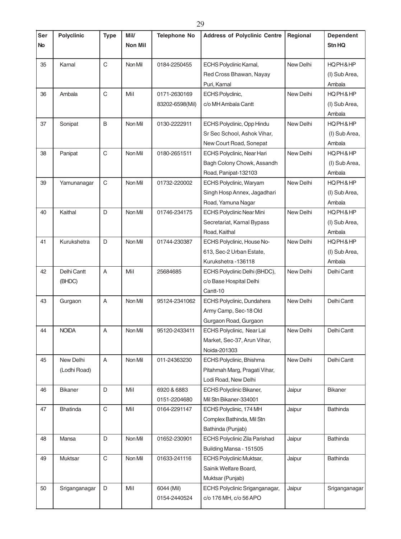| Ser       | <b>Polyclinic</b> | <b>Type</b> | Mil/           | <b>Telephone No</b> | <b>Address of Polyclinic Centre</b> | Regional  | <b>Dependent</b> |
|-----------|-------------------|-------------|----------------|---------------------|-------------------------------------|-----------|------------------|
| <b>No</b> |                   |             | <b>Non Mil</b> |                     |                                     |           | Stn HQ           |
| 35        | Karnal            | C           | Non Mil        | 0184-2250455        | ECHS Polyclinic Karnal,             | New Delhi | HQPH&HP          |
|           |                   |             |                |                     | Red Cross Bhawan, Nayay             |           | (I) Sub Area,    |
|           |                   |             |                |                     | Puri, Karnal                        |           | Ambala           |
| 36        | Ambala            | C           | Mil            | 0171-2630169        | ECHS Polyclinic,                    | New Delhi | HQPH&HP          |
|           |                   |             |                | 83202-6598(Mil)     | c/o MH Ambala Cantt                 |           | (I) Sub Area,    |
|           |                   |             |                |                     |                                     |           | Ambala           |
| 37        | Sonipat           | B           | Non Mil        | 0130-2222911        | ECHS Polyclinic, Opp Hindu          | New Delhi | HQPH&HP          |
|           |                   |             |                |                     | Sr Sec School, Ashok Vihar,         |           | (I) Sub Area,    |
|           |                   |             |                |                     | New Court Road, Sonepat             |           | Ambala           |
| 38        | Panipat           | C           | Non Mil        | 0180-2651511        | ECHS Polyclinic, Near Hari          | New Delhi | HQPH&HP          |
|           |                   |             |                |                     | Bagh Colony Chowk, Assandh          |           | (I) Sub Area,    |
|           |                   |             |                |                     | Road, Panipat-132103                |           | Ambala           |
| 39        | Yamunanagar       | C           | Non Mil        | 01732-220002        | ECHS Polyclinic, Waryam             | New Delhi | HQPH&HP          |
|           |                   |             |                |                     | Singh Hosp Annex, Jagadhari         |           | (I) Sub Area,    |
|           |                   |             |                |                     | Road, Yamuna Nagar                  |           | Ambala           |
| 40        | Kaithal           | D           | Non Mil        | 01746-234175        | <b>ECHS Polyclinic Near Mini</b>    | New Delhi | HQPH&HP          |
|           |                   |             |                |                     | Secretariat, Karnal Bypass          |           | (I) Sub Area,    |
|           |                   |             |                |                     | Road, Kaithal                       |           | Ambala           |
| 41        | Kurukshetra       | D           | Non Mil        | 01744-230387        | ECHS Polyclinic, House No-          | New Delhi | HQPH&HP          |
|           |                   |             |                |                     | 613, Sec-2 Urban Estate,            |           | (I) Sub Area,    |
|           |                   |             |                |                     | Kurukshetra - 136118                |           | Ambala           |
| 42        | Delhi Cantt       | A           | Mil            | 25684685            | ECHS Polyclinic Delhi (BHDC),       | New Delhi | Delhi Cantt      |
|           | (BHDC)            |             |                |                     | c/o Base Hospital Delhi             |           |                  |
|           |                   |             |                |                     | Cantt-10                            |           |                  |
| 43        | Gurgaon           | A           | Non Mil        | 95124-2341062       | ECHS Polyclinic, Dundahera          | New Delhi | Delhi Cantt      |
|           |                   |             |                |                     | Army Camp, Sec-18 Old               |           |                  |
|           |                   |             |                |                     | Gurgaon Road, Gurgaon               |           |                  |
| 44        | <b>NOIDA</b>      | А           | Non Mil        | 95120-2433411       | ECHS Polyclinic, Near Lal           | New Delhi | Delhi Cantt      |
|           |                   |             |                |                     | Market, Sec-37, Arun Vihar,         |           |                  |
|           |                   |             |                |                     | Noida-201303                        |           |                  |
| 45        | New Delhi         | A           | Non Mil        | 011-24363230        | ECHS Polyclinic, Bhishma            | New Delhi | Delhi Cantt      |
|           | (Lodhi Road)      |             |                |                     | Pitahmah Marg, Pragati Vihar,       |           |                  |
|           |                   |             |                |                     | Lodi Road, New Delhi                |           |                  |
| 46        | Bikaner           | D           | Mil            | 6920 & 6883         | ECHS Polyclinic Bikaner,            | Jaipur    | <b>Bikaner</b>   |
|           |                   |             |                | 0151-2204680        | Mil Stn Bikaner-334001              |           |                  |
| 47        | Bhatinda          | C           | Mil            | 0164-2291147        | ECHS Polyclinic, 174 MH             | Jaipur    | <b>Bathinda</b>  |
|           |                   |             |                |                     | Complex Bathinda, Mil Stn           |           |                  |
|           |                   |             |                |                     | Bathinda (Punjab)                   |           |                  |
| 48        | Mansa             | D           | Non Mil        | 01652-230901        | ECHS Polyclinic Zila Parishad       | Jaipur    | Bathinda         |
|           |                   |             |                |                     | Building Mansa - 151505             |           |                  |
| 49        | Muktsar           | С           | Non Mil        | 01633-241116        | <b>ECHS Polyclinic Muktsar,</b>     | Jaipur    | <b>Bathinda</b>  |
|           |                   |             |                |                     | Sainik Welfare Board,               |           |                  |
|           |                   |             |                |                     | Muktsar (Punjab)                    |           |                  |
| 50        | Sriganganagar     | D           | Mil            | 6044 (Mil)          | ECHS Polyclinic Sriganganagar,      | Jaipur    | Sriganganagar    |
|           |                   |             |                | 0154-2440524        | c/o 176 MH, c/o 56 APO              |           |                  |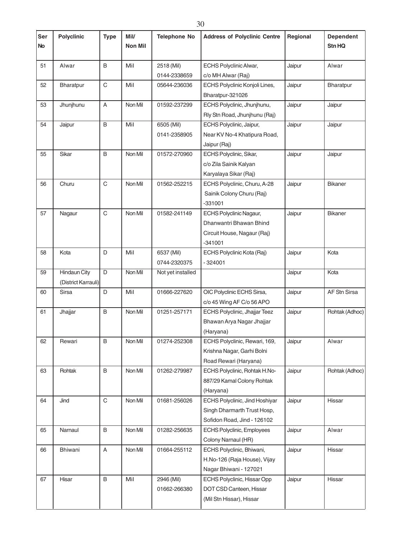| Ser       | <b>Polyclinic</b>   | <b>Type</b>    | Mil/           | <b>Telephone No</b> | <b>Address of Polyclinic Centre</b> | Regional | <b>Dependent</b> |
|-----------|---------------------|----------------|----------------|---------------------|-------------------------------------|----------|------------------|
| <b>No</b> |                     |                | <b>Non Mil</b> |                     |                                     |          | Stn HQ           |
| 51        | Alwar               | B              | Mil            | 2518 (Mil)          | <b>ECHS Polyclinic Alwar,</b>       | Jaipur   | Alwar            |
|           |                     |                |                | 0144-2338659        | c/o MH Alwar (Raj)                  |          |                  |
| 52        | Bharatpur           | $\mathsf C$    | Mil            | 05644-236036        | ECHS Polyclinic Konjoli Lines,      | Jaipur   | Bharatpur        |
|           |                     |                |                |                     | Bharatpur-321026                    |          |                  |
| 53        | Jhunjhunu           | A              | Non Mil        | 01592-237299        | ECHS Polyclinic, Jhunjhunu,         | Jaipur   | Jaipur           |
|           |                     |                |                |                     | Rly Stn Road, Jhunjhunu (Raj)       |          |                  |
| 54        | Jaipur              | B              | Mil            | 6505 (Mil)          | ECHS Polyclinic, Jaipur,            | Jaipur   | Jaipur           |
|           |                     |                |                | 0141-2358905        | Near KV No-4 Khatipura Road,        |          |                  |
|           |                     |                |                |                     | Jaipur (Raj)                        |          |                  |
| 55        | Sikar               | B              | Non Mil        | 01572-270960        | ECHS Polyclinic, Sikar,             | Jaipur   | Jaipur           |
|           |                     |                |                |                     | c/o Zila Sainik Kalyan              |          |                  |
|           |                     |                |                |                     | Karyalaya Sikar (Raj)               |          |                  |
| 56        | Churu               | C              | Non Mil        | 01562-252215        | ECHS Polyclinic, Churu, A-28        | Jaipur   | <b>Bikaner</b>   |
|           |                     |                |                |                     | Sainik Colony Churu (Raj)           |          |                  |
|           |                     |                |                |                     | $-331001$                           |          |                  |
| 57        | Nagaur              | C              | Non Mil        | 01582-241149        | ECHS Polyclinic Nagaur,             | Jaipur   | Bikaner          |
|           |                     |                |                |                     | Dhanwantri Bhawan Bhind             |          |                  |
|           |                     |                |                |                     | Circuit House, Nagaur (Raj)         |          |                  |
|           |                     |                |                |                     | $-341001$                           |          |                  |
| 58        | Kota                | D              | Mil            | 6537 (Mil)          | ECHS Polyclinic Kota (Raj)          | Jaipur   | Kota             |
|           |                     |                |                | 0744-2320375        | $-324001$                           |          |                  |
| 59        | <b>Hindaun City</b> | $\overline{D}$ | Non Mil        | Not yet installed   |                                     | Jaipur   | Kota             |
|           | (District Karrauli) |                |                |                     |                                     |          |                  |
| 60        | <b>Sirsa</b>        | D              | Mil            | 01666-227620        | OIC Polyclinic ECHS Sirsa,          | Jaipur   | AF Stn Sirsa     |
|           |                     |                |                |                     | c/o 45 Wing AF C/o 56 APO           |          |                  |
| 61        | Jhajjar             | B              | Non Mil        | 01251-257171        | ECHS Polyclinic, Jhajjar Teez       | Jaipur   | Rohtak (Adhoc)   |
|           |                     |                |                |                     | Bhawan Arya Nagar Jhajjar           |          |                  |
|           |                     |                |                |                     | (Haryana)                           |          |                  |
| 62        | Rewari              | B              | Non Mil        | 01274-252308        | ECHS Polyclinic, Rewari, 169,       | Jaipur   | Alwar            |
|           |                     |                |                |                     | Krishna Nagar, Garhi Bolni          |          |                  |
|           |                     |                |                |                     | Road Rewari (Haryana)               |          |                  |
| 63        | Rohtak              | B              | Non Mil        | 01262-279987        | ECHS Polyclinic, Rohtak H.No-       | Jaipur   | Rohtak (Adhoc)   |
|           |                     |                |                |                     | 887/29 Kamal Colony Rohtak          |          |                  |
|           |                     |                |                |                     | (Haryana)                           |          |                  |
| 64        | Jind                | C              | Non Mil        | 01681-256026        | ECHS Polyclinic, Jind Hoshiyar      | Jaipur   | Hissar           |
|           |                     |                |                |                     | Singh Dharmarth Trust Hosp,         |          |                  |
|           |                     |                |                |                     | Sofidon Road, Jind - 126102         |          |                  |
| 65        | Narnaul             | B              | Non Mil        | 01282-256635        | ECHS Polyclinic, Employees          | Jaipur   | Alwar            |
|           |                     |                |                |                     | Colony Narnaul (HR)                 |          |                  |
| 66        | Bhiwani             | A              | Non Mil        | 01664-255112        | ECHS Polyclinic, Bhiwani,           | Jaipur   | Hissar           |
|           |                     |                |                |                     | H.No-126 (Raja House), Vijay        |          |                  |
|           |                     |                |                |                     | Nagar Bhiwani - 127021              |          |                  |
| 67        | Hisar               | B              | Mil            | 2946 (Mil)          | ECHS Polyclinic, Hissar Opp         | Jaipur   | Hissar           |
|           |                     |                |                | 01662-266380        | DOT CSD Canteen, Hissar             |          |                  |
|           |                     |                |                |                     | (Mil Stn Hissar), Hissar            |          |                  |
|           |                     |                |                |                     |                                     |          |                  |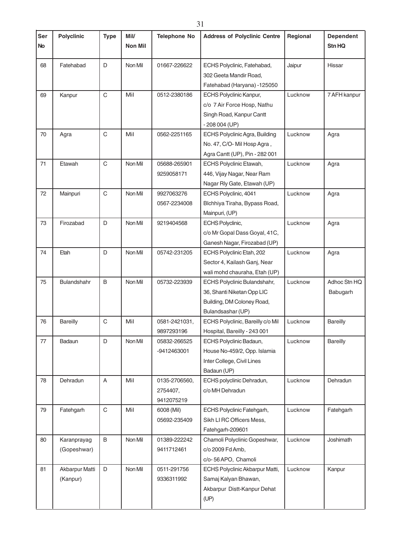| Ser<br><b>No</b> | <b>Polyclinic</b>          | <b>Type</b> | Mil/<br>Non Mil | <b>Telephone No</b>                     | <b>Address of Polyclinic Centre</b>                                                                           | Regional | <b>Dependent</b><br>Stn HQ |
|------------------|----------------------------|-------------|-----------------|-----------------------------------------|---------------------------------------------------------------------------------------------------------------|----------|----------------------------|
| 68               | Fatehabad                  | D           | Non Mil         | 01667-226622                            | ECHS Polyclinic, Fatehabad,<br>302 Geeta Mandir Road,<br>Fatehabad (Haryana) -125050                          | Jaipur   | Hissar                     |
| 69               | Kanpur                     | C           | Mil             | 0512-2380186                            | ECHS Polyclinic Kanpur,<br>c/o 7 Air Force Hosp, Nathu<br>Singh Road, Kanpur Cantt<br>$-208004$ (UP)          | Lucknow  | 7 AFH kanpur               |
| 70               | Agra                       | C           | Mil             | 0562-2251165                            | ECHS Polyclinic Agra, Building<br>No. 47, C/O-Mil Hosp Agra,<br>Agra Cantt (UP), Pin - 282 001                | Lucknow  | Agra                       |
| 71               | Etawah                     | C           | Non Mil         | 05688-265901<br>9259058171              | <b>ECHS Polyclinic Etawah,</b><br>446, Vijay Nagar, Near Ram<br>Nagar Rly Gate, Etawah (UP)                   | Lucknow  | Agra                       |
| 72               | Mainpuri                   | $\mathsf C$ | Non Mil         | 9927063276<br>0567-2234008              | ECHS Polyclinic, 4041<br>Blchhiya Tiraha, Bypass Road,<br>Mainpuri, (UP)                                      | Lucknow  | Agra                       |
| 73               | Firozabad                  | D           | Non Mil         | 9219404568                              | ECHS Polyclinic,<br>c/o Mr Gopal Dass Goyal, 41C,<br>Ganesh Nagar, Firozabad (UP)                             | Lucknow  | Agra                       |
| 74               | Etah                       | D           | Non Mil         | 05742-231205                            | ECHS Polyclinic Etah, 202<br>Sector 4, Kailash Ganj, Near<br>wali mohd chauraha, Etah (UP)                    | Lucknow  | Agra                       |
| 75               | Bulandshahr                | B           | Non Mil         | 05732-223939                            | ECHS Polyclinic Bulandshahr,<br>36, Shanti Niketan Opp LIC<br>Building, DM Coloney Road,<br>Bulandsashar (UP) | Lucknow  | Adhoc Stn HQ<br>Babugarh   |
| 76               | <b>Bareilly</b>            | C           | Mil             | 0581-2421031,<br>9897293196             | ECHS Polyclinic, Bareilly c/o Mil<br>Hospital, Bareilly - 243 001                                             | Lucknow  | <b>Bareilly</b>            |
| 77               | Badaun                     | D           | Non Mil         | 05832-266525<br>-9412463001             | ECHS Polyclinic Badaun,<br>House No-459/2, Opp. Islamia<br>Inter College, Civil Lines<br>Badaun (UP)          | Lucknow  | Bareilly                   |
| 78               | Dehradun                   | A           | Mil             | 0135-2706560,<br>2754407,<br>9412075219 | ECHS polyclinic Dehradun,<br>c/o MH Dehradun                                                                  | Lucknow  | Dehradun                   |
| 79               | Fatehgarh                  | C           | Mil             | 6008 (Mil)<br>05692-235409              | ECHS Polyclinic Fatehgarh,<br>Sikh LI RC Officers Mess,<br>Fatehgarh-209601                                   | Lucknow  | Fatehgarh                  |
| 80               | Karanprayag<br>(Gopeshwar) | B           | Non Mil         | 01389-222242<br>9411712461              | Chamoli Polyclinic Gopeshwar,<br>c/o 2009 Fd Amb,<br>c/o-56 APO, Chamoli                                      | Lucknow  | Joshimath                  |
| 81               | Akbarpur Matti<br>(Kanpur) | D           | Non Mil         | 0511-291756<br>9336311992               | ECHS Polyclinic Akbarpur Matti,<br>Samaj Kalyan Bhawan,<br>Akbarpur Distt-Kanpur Dehat<br>(UP)                | Lucknow  | Kanpur                     |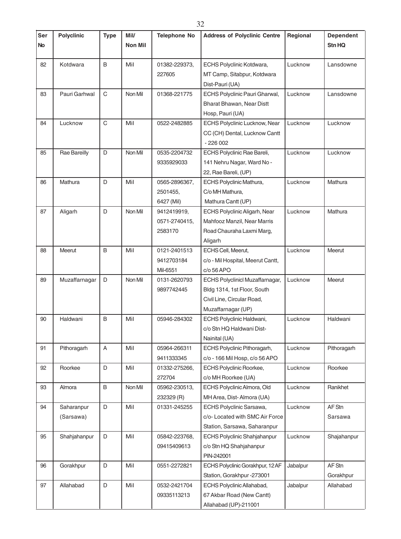| Ser       | <b>Polyclinic</b> | <b>Type</b>  | Mil/           | <b>Telephone No</b> | <b>Address of Polyclinic Centre</b>                       | Regional | <b>Dependent</b> |
|-----------|-------------------|--------------|----------------|---------------------|-----------------------------------------------------------|----------|------------------|
| <b>No</b> |                   |              | <b>Non Mil</b> |                     |                                                           |          | Stn HQ           |
| 82        | Kotdwara          | B            | Mil            | 01382-229373,       | ECHS Polyclinic Kotdwara,                                 | Lucknow  | Lansdowne        |
|           |                   |              |                | 227605              | MT Camp, Sitabpur, Kotdwara                               |          |                  |
|           |                   |              |                |                     | Dist-Pauri (UA)                                           |          |                  |
| 83        | Pauri Garhwal     | $\mathsf{C}$ | Non Mil        | 01368-221775        | ECHS Polyclinic Pauri Gharwal,                            | Lucknow  | Lansdowne        |
|           |                   |              |                |                     | Bharat Bhawan, Near Distt                                 |          |                  |
|           |                   |              |                |                     | Hosp, Pauri (UA)                                          |          |                  |
| 84        | Lucknow           | $\mathsf C$  | Mil            | 0522-2482885        | ECHS Polyclinic Lucknow, Near                             | Lucknow  | Lucknow          |
|           |                   |              |                |                     | CC (CH) Dental, Lucknow Cantt                             |          |                  |
|           |                   |              |                |                     | $-226002$                                                 |          |                  |
| 85        | Rae Bareilly      | D            | Non Mil        | 0535-2204732        | ECHS Polyclinic Rae Bareli,                               | Lucknow  | Lucknow          |
|           |                   |              |                | 9335929033          | 141 Nehru Nagar, Ward No -                                |          |                  |
|           |                   |              |                |                     | 22, Rae Bareli, (UP)                                      |          |                  |
| 86        | Mathura           | D            | Mil            | 0565-2896367,       | ECHS Polyclinic Mathura,                                  | Lucknow  | Mathura          |
|           |                   |              |                | 2501455,            | C/o MH Mathura,                                           |          |                  |
|           |                   |              |                | 6427 (Mil)          | Mathura Cantt (UP)                                        |          |                  |
| 87        | Aligarh           | D            | Non Mil        | 9412419919,         | <b>ECHS Polyclinic Aligarh, Near</b>                      | Lucknow  | Mathura          |
|           |                   |              |                | 0571-2740415,       | Mahfooz Manzil, Near Marris                               |          |                  |
|           |                   |              |                | 2583170             | Road Chauraha Laxmi Marg,                                 |          |                  |
|           |                   |              |                |                     | Aligarh                                                   |          |                  |
| 88        | Meerut            | B            | Mil            | 0121-2401513        | ECHS Cell, Meerut,                                        | Lucknow  | Meerut           |
|           |                   |              |                | 9412703184          | c/o - Mil Hospital, Meerut Cantt,                         |          |                  |
|           |                   |              |                | Mil-6551            | c/o 56 APO                                                |          |                  |
| 89        | Muzaffarnagar     | D            | Non Mil        | 0131-2620793        | ECHS Polyclinicl Muzaffarnagar,                           | Lucknow  | Meerut           |
|           |                   |              |                | 9897742445          | Bldg 1314, 1st Floor, South<br>Civil Line, Circular Road, |          |                  |
|           |                   |              |                |                     | Muzaffarnagar (UP)                                        |          |                  |
| 90        | Haldwani          | B            | Mil            | 05946-284302        | ECHS Polyclinic Haldwani,                                 | Lucknow  | Haldwani         |
|           |                   |              |                |                     | c/o Stn HQ Haldwani Dist-                                 |          |                  |
|           |                   |              |                |                     | Nainital (UA)                                             |          |                  |
| 91        | Pithoragarh       | A            | Mil            | 05964-266311        | ECHS Polyclinic Pithoragarh,                              | Lucknow  | Pithoragarh      |
|           |                   |              |                | 9411333345          | c/o - 166 Mil Hosp, c/o 56 APO                            |          |                  |
| 92        | Roorkee           | D            | Mil            | 01332-275266,       | ECHS Polyclinic Roorkee,                                  | Lucknow  | Roorkee          |
|           |                   |              |                | 272704              | c/o MH Roorkee (UA)                                       |          |                  |
| 93        | Almora            | B            | Non Mil        | 05962-230513,       | ECHS Polyclinic Almora, Old                               | Lucknow  | Ranikhet         |
|           |                   |              |                | 232329 (R)          | MH Area, Dist-Almora (UA)                                 |          |                  |
| 94        | Saharanpur        | D            | Mil            | 01331-245255        | ECHS Polyclinic Sarsawa,                                  | Lucknow  | AF Stn           |
|           | (Sarsawa)         |              |                |                     | c/o- Located with SMC Air Force                           |          | Sarsawa          |
|           |                   |              |                |                     | Station, Sarsawa, Saharanpur                              |          |                  |
| 95        | Shahjahanpur      | D            | Mil            | 05842-223768,       | ECHS Polyclinic Shahjahanpur                              | Lucknow  | Shajahanpur      |
|           |                   |              |                | 09415409613         | c/o Stn HQ Shahjahanpur                                   |          |                  |
|           |                   |              |                |                     | PIN-242001                                                |          |                  |
| 96        | Gorakhpur         | D            | Mil            | 0551-2272821        | ECHS Polyclinic Gorakhpur, 12 AF                          | Jabalpur | AF Stn           |
|           |                   |              |                |                     | Station, Gorakhpur -273001                                |          | Gorakhpur        |
| 97        | Allahabad         | $\mathsf D$  | Mil            | 0532-2421704        | ECHS Polyclinic Allahabad,                                | Jabalpur | Allahabad        |
|           |                   |              |                | 09335113213         | 67 Akbar Road (New Cantt)                                 |          |                  |
|           |                   |              |                |                     | Allahabad (UP)-211001                                     |          |                  |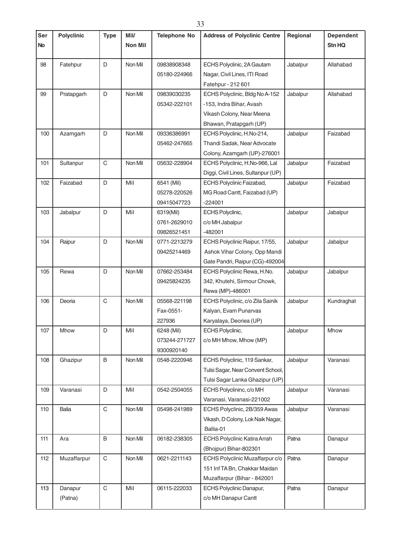| 98<br>D<br>Non Mil<br>Fatehpur<br>09838908348<br>ECHS Polyclinic, 2A Gautam<br>Jabalpur<br>Allahabad<br>Nagar, Civil Lines, ITI Road<br>05180-224966<br>Fatehpur - 212 601<br>D<br>Non Mil<br>Allahabad<br>99<br>Pratapgarh<br>09839030235<br>ECHS Polyclinic, Bldg No A-152<br>Jabalpur<br>05342-222101<br>-153, Indra Bihar, Avash<br>Vikash Colony, Near Meena<br>Bhawan, Pratapgarh (UP)<br>100<br>D<br>Non Mil<br>Jabalpur<br>Faizabad<br>Azamgarh<br>09336386991<br>ECHS Polyclinic, H.No-214,<br>Thandi Sadak, Near Advocate<br>05462-247665<br>Colony, Azamgarh (UP)-276001<br>$\mathsf C$<br>Non Mil<br>ECHS Polyclinic, H.No-966, Lal<br>Jabalpur<br>Faizabad<br>101<br>Sultanpur<br>05632-228904<br>Diggi, Civil Lines, Sultanpur (UP)<br>Faizabad<br>D<br>Mil<br>Faizabad<br>102<br>6541 (Mil)<br>ECHS Polyclinic Faizabad,<br>Jabalpur<br>MG Road Cantt, Faizabad (UP)<br>05278-220526<br>09415047723<br>$-224001$<br>103<br>D<br>Mil<br>Jabalpur<br><b>ECHS Polyclinic,</b><br>Jabalpur<br>Jabalpur<br>6319(Mil)<br>0761-2629010<br>c/o MH Jabalpur<br>$-482001$<br>09826521451<br>104<br>D<br>Non Mil<br>ECHS Polyclinic Raipur, 17/55,<br>Jabalpur<br>Jabalpur<br>Raipur<br>0771-2213279<br>09425214469<br>Ashok Vihar Colony, Opp Mandi<br>Gate Pandri, Raipur (CG)-492004<br>105<br>D<br>Non Mil<br>ECHS Polyclinic Rewa, H.No.<br>Rewa<br>07662-253484<br>Jabalpur<br>Jabalpur<br>342, Khutehi, Sirmour Chowk,<br>09425824235<br>Rewa (MP)-486001<br>C<br>Deoria<br>Non Mil<br>Jabalpur<br>106<br>05568-221198<br>ECHS Polyclinic, c/o Zila Sainik<br>Kundraghat<br>Fax-0551-<br>Kalyan, Evam Punarvas<br>Karyalaya, Deoriea (UP)<br>227936<br>6248 (Mil)<br>ECHS Polyclinic,<br>D<br>Mil<br>Mhow<br>107<br>Mhow<br>Jabalpur<br>c/o MH Mhow, Mhow (MP)<br>073244-271727<br>9300920140<br>108<br>Ghazipur<br>B<br>Non Mil<br>ECHS Polyclinic, 119 Sankar,<br>Jabalpur<br>0548-2220946<br>Varanasi<br>Tulsi Sagar, Near Convent School,<br>Tulsi Sagar Lanka Ghazipur (UP)<br>Varanasi<br>D<br>Varanasi<br>109<br>Mil<br>0542-2504055<br>ECHS Polyclininc, c/o MH<br>Jabalpur<br>Varanasi, Varanasi-221002<br>C<br>110<br><b>Balia</b><br>Non Mil<br>05498-241989<br>ECHS Polyclinic, 2B/359 Awas<br>Jabalpur<br>Varanasi<br>Vikash, D Colony, Lok Naik Nagar,<br>Ballia-01<br>B<br>Non Mil<br>ECHS Polyclinic Katira Arrah<br>Patna<br>111<br>Ara<br>06182-238305<br>Danapur<br>(Bhojpur) Bihar-802301<br>C<br>ECHS Polyclinic Muzaffarpur c/o<br>112<br>Muzaffarpur<br>Non Mil<br>0621-2211143<br>Patna<br>Danapur<br>151 Inf TA Bn, Chakkar Maidan | Ser<br>No | <b>Polyclinic</b> | <b>Type</b> | Mil/<br>Non Mil | <b>Telephone No</b> | <b>Address of Polyclinic Centre</b> | Regional | <b>Dependent</b><br><b>Stn HQ</b> |
|------------------------------------------------------------------------------------------------------------------------------------------------------------------------------------------------------------------------------------------------------------------------------------------------------------------------------------------------------------------------------------------------------------------------------------------------------------------------------------------------------------------------------------------------------------------------------------------------------------------------------------------------------------------------------------------------------------------------------------------------------------------------------------------------------------------------------------------------------------------------------------------------------------------------------------------------------------------------------------------------------------------------------------------------------------------------------------------------------------------------------------------------------------------------------------------------------------------------------------------------------------------------------------------------------------------------------------------------------------------------------------------------------------------------------------------------------------------------------------------------------------------------------------------------------------------------------------------------------------------------------------------------------------------------------------------------------------------------------------------------------------------------------------------------------------------------------------------------------------------------------------------------------------------------------------------------------------------------------------------------------------------------------------------------------------------------------------------------------------------------------------------------------------------------------------------------------------------------------------------------------------------------------------------------------------------------------------------------------------------------------------------------------------------------------------------------------------------------------------------------------------------------------------------------------------------------|-----------|-------------------|-------------|-----------------|---------------------|-------------------------------------|----------|-----------------------------------|
|                                                                                                                                                                                                                                                                                                                                                                                                                                                                                                                                                                                                                                                                                                                                                                                                                                                                                                                                                                                                                                                                                                                                                                                                                                                                                                                                                                                                                                                                                                                                                                                                                                                                                                                                                                                                                                                                                                                                                                                                                                                                                                                                                                                                                                                                                                                                                                                                                                                                                                                                                                        |           |                   |             |                 |                     |                                     |          |                                   |
|                                                                                                                                                                                                                                                                                                                                                                                                                                                                                                                                                                                                                                                                                                                                                                                                                                                                                                                                                                                                                                                                                                                                                                                                                                                                                                                                                                                                                                                                                                                                                                                                                                                                                                                                                                                                                                                                                                                                                                                                                                                                                                                                                                                                                                                                                                                                                                                                                                                                                                                                                                        |           |                   |             |                 |                     |                                     |          |                                   |
|                                                                                                                                                                                                                                                                                                                                                                                                                                                                                                                                                                                                                                                                                                                                                                                                                                                                                                                                                                                                                                                                                                                                                                                                                                                                                                                                                                                                                                                                                                                                                                                                                                                                                                                                                                                                                                                                                                                                                                                                                                                                                                                                                                                                                                                                                                                                                                                                                                                                                                                                                                        |           |                   |             |                 |                     |                                     |          |                                   |
|                                                                                                                                                                                                                                                                                                                                                                                                                                                                                                                                                                                                                                                                                                                                                                                                                                                                                                                                                                                                                                                                                                                                                                                                                                                                                                                                                                                                                                                                                                                                                                                                                                                                                                                                                                                                                                                                                                                                                                                                                                                                                                                                                                                                                                                                                                                                                                                                                                                                                                                                                                        |           |                   |             |                 |                     |                                     |          |                                   |
|                                                                                                                                                                                                                                                                                                                                                                                                                                                                                                                                                                                                                                                                                                                                                                                                                                                                                                                                                                                                                                                                                                                                                                                                                                                                                                                                                                                                                                                                                                                                                                                                                                                                                                                                                                                                                                                                                                                                                                                                                                                                                                                                                                                                                                                                                                                                                                                                                                                                                                                                                                        |           |                   |             |                 |                     |                                     |          |                                   |
|                                                                                                                                                                                                                                                                                                                                                                                                                                                                                                                                                                                                                                                                                                                                                                                                                                                                                                                                                                                                                                                                                                                                                                                                                                                                                                                                                                                                                                                                                                                                                                                                                                                                                                                                                                                                                                                                                                                                                                                                                                                                                                                                                                                                                                                                                                                                                                                                                                                                                                                                                                        |           |                   |             |                 |                     |                                     |          |                                   |
|                                                                                                                                                                                                                                                                                                                                                                                                                                                                                                                                                                                                                                                                                                                                                                                                                                                                                                                                                                                                                                                                                                                                                                                                                                                                                                                                                                                                                                                                                                                                                                                                                                                                                                                                                                                                                                                                                                                                                                                                                                                                                                                                                                                                                                                                                                                                                                                                                                                                                                                                                                        |           |                   |             |                 |                     |                                     |          |                                   |
|                                                                                                                                                                                                                                                                                                                                                                                                                                                                                                                                                                                                                                                                                                                                                                                                                                                                                                                                                                                                                                                                                                                                                                                                                                                                                                                                                                                                                                                                                                                                                                                                                                                                                                                                                                                                                                                                                                                                                                                                                                                                                                                                                                                                                                                                                                                                                                                                                                                                                                                                                                        |           |                   |             |                 |                     |                                     |          |                                   |
|                                                                                                                                                                                                                                                                                                                                                                                                                                                                                                                                                                                                                                                                                                                                                                                                                                                                                                                                                                                                                                                                                                                                                                                                                                                                                                                                                                                                                                                                                                                                                                                                                                                                                                                                                                                                                                                                                                                                                                                                                                                                                                                                                                                                                                                                                                                                                                                                                                                                                                                                                                        |           |                   |             |                 |                     |                                     |          |                                   |
|                                                                                                                                                                                                                                                                                                                                                                                                                                                                                                                                                                                                                                                                                                                                                                                                                                                                                                                                                                                                                                                                                                                                                                                                                                                                                                                                                                                                                                                                                                                                                                                                                                                                                                                                                                                                                                                                                                                                                                                                                                                                                                                                                                                                                                                                                                                                                                                                                                                                                                                                                                        |           |                   |             |                 |                     |                                     |          |                                   |
|                                                                                                                                                                                                                                                                                                                                                                                                                                                                                                                                                                                                                                                                                                                                                                                                                                                                                                                                                                                                                                                                                                                                                                                                                                                                                                                                                                                                                                                                                                                                                                                                                                                                                                                                                                                                                                                                                                                                                                                                                                                                                                                                                                                                                                                                                                                                                                                                                                                                                                                                                                        |           |                   |             |                 |                     |                                     |          |                                   |
|                                                                                                                                                                                                                                                                                                                                                                                                                                                                                                                                                                                                                                                                                                                                                                                                                                                                                                                                                                                                                                                                                                                                                                                                                                                                                                                                                                                                                                                                                                                                                                                                                                                                                                                                                                                                                                                                                                                                                                                                                                                                                                                                                                                                                                                                                                                                                                                                                                                                                                                                                                        |           |                   |             |                 |                     |                                     |          |                                   |
|                                                                                                                                                                                                                                                                                                                                                                                                                                                                                                                                                                                                                                                                                                                                                                                                                                                                                                                                                                                                                                                                                                                                                                                                                                                                                                                                                                                                                                                                                                                                                                                                                                                                                                                                                                                                                                                                                                                                                                                                                                                                                                                                                                                                                                                                                                                                                                                                                                                                                                                                                                        |           |                   |             |                 |                     |                                     |          |                                   |
|                                                                                                                                                                                                                                                                                                                                                                                                                                                                                                                                                                                                                                                                                                                                                                                                                                                                                                                                                                                                                                                                                                                                                                                                                                                                                                                                                                                                                                                                                                                                                                                                                                                                                                                                                                                                                                                                                                                                                                                                                                                                                                                                                                                                                                                                                                                                                                                                                                                                                                                                                                        |           |                   |             |                 |                     |                                     |          |                                   |
|                                                                                                                                                                                                                                                                                                                                                                                                                                                                                                                                                                                                                                                                                                                                                                                                                                                                                                                                                                                                                                                                                                                                                                                                                                                                                                                                                                                                                                                                                                                                                                                                                                                                                                                                                                                                                                                                                                                                                                                                                                                                                                                                                                                                                                                                                                                                                                                                                                                                                                                                                                        |           |                   |             |                 |                     |                                     |          |                                   |
|                                                                                                                                                                                                                                                                                                                                                                                                                                                                                                                                                                                                                                                                                                                                                                                                                                                                                                                                                                                                                                                                                                                                                                                                                                                                                                                                                                                                                                                                                                                                                                                                                                                                                                                                                                                                                                                                                                                                                                                                                                                                                                                                                                                                                                                                                                                                                                                                                                                                                                                                                                        |           |                   |             |                 |                     |                                     |          |                                   |
|                                                                                                                                                                                                                                                                                                                                                                                                                                                                                                                                                                                                                                                                                                                                                                                                                                                                                                                                                                                                                                                                                                                                                                                                                                                                                                                                                                                                                                                                                                                                                                                                                                                                                                                                                                                                                                                                                                                                                                                                                                                                                                                                                                                                                                                                                                                                                                                                                                                                                                                                                                        |           |                   |             |                 |                     |                                     |          |                                   |
|                                                                                                                                                                                                                                                                                                                                                                                                                                                                                                                                                                                                                                                                                                                                                                                                                                                                                                                                                                                                                                                                                                                                                                                                                                                                                                                                                                                                                                                                                                                                                                                                                                                                                                                                                                                                                                                                                                                                                                                                                                                                                                                                                                                                                                                                                                                                                                                                                                                                                                                                                                        |           |                   |             |                 |                     |                                     |          |                                   |
|                                                                                                                                                                                                                                                                                                                                                                                                                                                                                                                                                                                                                                                                                                                                                                                                                                                                                                                                                                                                                                                                                                                                                                                                                                                                                                                                                                                                                                                                                                                                                                                                                                                                                                                                                                                                                                                                                                                                                                                                                                                                                                                                                                                                                                                                                                                                                                                                                                                                                                                                                                        |           |                   |             |                 |                     |                                     |          |                                   |
|                                                                                                                                                                                                                                                                                                                                                                                                                                                                                                                                                                                                                                                                                                                                                                                                                                                                                                                                                                                                                                                                                                                                                                                                                                                                                                                                                                                                                                                                                                                                                                                                                                                                                                                                                                                                                                                                                                                                                                                                                                                                                                                                                                                                                                                                                                                                                                                                                                                                                                                                                                        |           |                   |             |                 |                     |                                     |          |                                   |
|                                                                                                                                                                                                                                                                                                                                                                                                                                                                                                                                                                                                                                                                                                                                                                                                                                                                                                                                                                                                                                                                                                                                                                                                                                                                                                                                                                                                                                                                                                                                                                                                                                                                                                                                                                                                                                                                                                                                                                                                                                                                                                                                                                                                                                                                                                                                                                                                                                                                                                                                                                        |           |                   |             |                 |                     |                                     |          |                                   |
|                                                                                                                                                                                                                                                                                                                                                                                                                                                                                                                                                                                                                                                                                                                                                                                                                                                                                                                                                                                                                                                                                                                                                                                                                                                                                                                                                                                                                                                                                                                                                                                                                                                                                                                                                                                                                                                                                                                                                                                                                                                                                                                                                                                                                                                                                                                                                                                                                                                                                                                                                                        |           |                   |             |                 |                     |                                     |          |                                   |
|                                                                                                                                                                                                                                                                                                                                                                                                                                                                                                                                                                                                                                                                                                                                                                                                                                                                                                                                                                                                                                                                                                                                                                                                                                                                                                                                                                                                                                                                                                                                                                                                                                                                                                                                                                                                                                                                                                                                                                                                                                                                                                                                                                                                                                                                                                                                                                                                                                                                                                                                                                        |           |                   |             |                 |                     |                                     |          |                                   |
|                                                                                                                                                                                                                                                                                                                                                                                                                                                                                                                                                                                                                                                                                                                                                                                                                                                                                                                                                                                                                                                                                                                                                                                                                                                                                                                                                                                                                                                                                                                                                                                                                                                                                                                                                                                                                                                                                                                                                                                                                                                                                                                                                                                                                                                                                                                                                                                                                                                                                                                                                                        |           |                   |             |                 |                     |                                     |          |                                   |
|                                                                                                                                                                                                                                                                                                                                                                                                                                                                                                                                                                                                                                                                                                                                                                                                                                                                                                                                                                                                                                                                                                                                                                                                                                                                                                                                                                                                                                                                                                                                                                                                                                                                                                                                                                                                                                                                                                                                                                                                                                                                                                                                                                                                                                                                                                                                                                                                                                                                                                                                                                        |           |                   |             |                 |                     |                                     |          |                                   |
|                                                                                                                                                                                                                                                                                                                                                                                                                                                                                                                                                                                                                                                                                                                                                                                                                                                                                                                                                                                                                                                                                                                                                                                                                                                                                                                                                                                                                                                                                                                                                                                                                                                                                                                                                                                                                                                                                                                                                                                                                                                                                                                                                                                                                                                                                                                                                                                                                                                                                                                                                                        |           |                   |             |                 |                     |                                     |          |                                   |
|                                                                                                                                                                                                                                                                                                                                                                                                                                                                                                                                                                                                                                                                                                                                                                                                                                                                                                                                                                                                                                                                                                                                                                                                                                                                                                                                                                                                                                                                                                                                                                                                                                                                                                                                                                                                                                                                                                                                                                                                                                                                                                                                                                                                                                                                                                                                                                                                                                                                                                                                                                        |           |                   |             |                 |                     |                                     |          |                                   |
|                                                                                                                                                                                                                                                                                                                                                                                                                                                                                                                                                                                                                                                                                                                                                                                                                                                                                                                                                                                                                                                                                                                                                                                                                                                                                                                                                                                                                                                                                                                                                                                                                                                                                                                                                                                                                                                                                                                                                                                                                                                                                                                                                                                                                                                                                                                                                                                                                                                                                                                                                                        |           |                   |             |                 |                     |                                     |          |                                   |
|                                                                                                                                                                                                                                                                                                                                                                                                                                                                                                                                                                                                                                                                                                                                                                                                                                                                                                                                                                                                                                                                                                                                                                                                                                                                                                                                                                                                                                                                                                                                                                                                                                                                                                                                                                                                                                                                                                                                                                                                                                                                                                                                                                                                                                                                                                                                                                                                                                                                                                                                                                        |           |                   |             |                 |                     |                                     |          |                                   |
|                                                                                                                                                                                                                                                                                                                                                                                                                                                                                                                                                                                                                                                                                                                                                                                                                                                                                                                                                                                                                                                                                                                                                                                                                                                                                                                                                                                                                                                                                                                                                                                                                                                                                                                                                                                                                                                                                                                                                                                                                                                                                                                                                                                                                                                                                                                                                                                                                                                                                                                                                                        |           |                   |             |                 |                     |                                     |          |                                   |
|                                                                                                                                                                                                                                                                                                                                                                                                                                                                                                                                                                                                                                                                                                                                                                                                                                                                                                                                                                                                                                                                                                                                                                                                                                                                                                                                                                                                                                                                                                                                                                                                                                                                                                                                                                                                                                                                                                                                                                                                                                                                                                                                                                                                                                                                                                                                                                                                                                                                                                                                                                        |           |                   |             |                 |                     |                                     |          |                                   |
|                                                                                                                                                                                                                                                                                                                                                                                                                                                                                                                                                                                                                                                                                                                                                                                                                                                                                                                                                                                                                                                                                                                                                                                                                                                                                                                                                                                                                                                                                                                                                                                                                                                                                                                                                                                                                                                                                                                                                                                                                                                                                                                                                                                                                                                                                                                                                                                                                                                                                                                                                                        |           |                   |             |                 |                     |                                     |          |                                   |
|                                                                                                                                                                                                                                                                                                                                                                                                                                                                                                                                                                                                                                                                                                                                                                                                                                                                                                                                                                                                                                                                                                                                                                                                                                                                                                                                                                                                                                                                                                                                                                                                                                                                                                                                                                                                                                                                                                                                                                                                                                                                                                                                                                                                                                                                                                                                                                                                                                                                                                                                                                        |           |                   |             |                 |                     |                                     |          |                                   |
|                                                                                                                                                                                                                                                                                                                                                                                                                                                                                                                                                                                                                                                                                                                                                                                                                                                                                                                                                                                                                                                                                                                                                                                                                                                                                                                                                                                                                                                                                                                                                                                                                                                                                                                                                                                                                                                                                                                                                                                                                                                                                                                                                                                                                                                                                                                                                                                                                                                                                                                                                                        |           |                   |             |                 |                     |                                     |          |                                   |
|                                                                                                                                                                                                                                                                                                                                                                                                                                                                                                                                                                                                                                                                                                                                                                                                                                                                                                                                                                                                                                                                                                                                                                                                                                                                                                                                                                                                                                                                                                                                                                                                                                                                                                                                                                                                                                                                                                                                                                                                                                                                                                                                                                                                                                                                                                                                                                                                                                                                                                                                                                        |           |                   |             |                 |                     |                                     |          |                                   |
|                                                                                                                                                                                                                                                                                                                                                                                                                                                                                                                                                                                                                                                                                                                                                                                                                                                                                                                                                                                                                                                                                                                                                                                                                                                                                                                                                                                                                                                                                                                                                                                                                                                                                                                                                                                                                                                                                                                                                                                                                                                                                                                                                                                                                                                                                                                                                                                                                                                                                                                                                                        |           |                   |             |                 |                     |                                     |          |                                   |
|                                                                                                                                                                                                                                                                                                                                                                                                                                                                                                                                                                                                                                                                                                                                                                                                                                                                                                                                                                                                                                                                                                                                                                                                                                                                                                                                                                                                                                                                                                                                                                                                                                                                                                                                                                                                                                                                                                                                                                                                                                                                                                                                                                                                                                                                                                                                                                                                                                                                                                                                                                        |           |                   |             |                 |                     |                                     |          |                                   |
|                                                                                                                                                                                                                                                                                                                                                                                                                                                                                                                                                                                                                                                                                                                                                                                                                                                                                                                                                                                                                                                                                                                                                                                                                                                                                                                                                                                                                                                                                                                                                                                                                                                                                                                                                                                                                                                                                                                                                                                                                                                                                                                                                                                                                                                                                                                                                                                                                                                                                                                                                                        |           |                   |             |                 |                     |                                     |          |                                   |
|                                                                                                                                                                                                                                                                                                                                                                                                                                                                                                                                                                                                                                                                                                                                                                                                                                                                                                                                                                                                                                                                                                                                                                                                                                                                                                                                                                                                                                                                                                                                                                                                                                                                                                                                                                                                                                                                                                                                                                                                                                                                                                                                                                                                                                                                                                                                                                                                                                                                                                                                                                        |           |                   |             |                 |                     |                                     |          |                                   |
|                                                                                                                                                                                                                                                                                                                                                                                                                                                                                                                                                                                                                                                                                                                                                                                                                                                                                                                                                                                                                                                                                                                                                                                                                                                                                                                                                                                                                                                                                                                                                                                                                                                                                                                                                                                                                                                                                                                                                                                                                                                                                                                                                                                                                                                                                                                                                                                                                                                                                                                                                                        |           |                   |             |                 |                     |                                     |          |                                   |
|                                                                                                                                                                                                                                                                                                                                                                                                                                                                                                                                                                                                                                                                                                                                                                                                                                                                                                                                                                                                                                                                                                                                                                                                                                                                                                                                                                                                                                                                                                                                                                                                                                                                                                                                                                                                                                                                                                                                                                                                                                                                                                                                                                                                                                                                                                                                                                                                                                                                                                                                                                        |           |                   |             |                 |                     |                                     |          |                                   |
|                                                                                                                                                                                                                                                                                                                                                                                                                                                                                                                                                                                                                                                                                                                                                                                                                                                                                                                                                                                                                                                                                                                                                                                                                                                                                                                                                                                                                                                                                                                                                                                                                                                                                                                                                                                                                                                                                                                                                                                                                                                                                                                                                                                                                                                                                                                                                                                                                                                                                                                                                                        |           |                   |             |                 |                     |                                     |          |                                   |
|                                                                                                                                                                                                                                                                                                                                                                                                                                                                                                                                                                                                                                                                                                                                                                                                                                                                                                                                                                                                                                                                                                                                                                                                                                                                                                                                                                                                                                                                                                                                                                                                                                                                                                                                                                                                                                                                                                                                                                                                                                                                                                                                                                                                                                                                                                                                                                                                                                                                                                                                                                        |           |                   |             |                 |                     |                                     |          |                                   |
|                                                                                                                                                                                                                                                                                                                                                                                                                                                                                                                                                                                                                                                                                                                                                                                                                                                                                                                                                                                                                                                                                                                                                                                                                                                                                                                                                                                                                                                                                                                                                                                                                                                                                                                                                                                                                                                                                                                                                                                                                                                                                                                                                                                                                                                                                                                                                                                                                                                                                                                                                                        |           |                   |             |                 |                     | Muzaffarpur (Bihar - 842001         |          |                                   |
| $\mathsf C$<br>113<br>Mil<br>Danapur<br>06115-222033<br>ECHS Polyclinic Danapur,<br>Patna<br>Danapur                                                                                                                                                                                                                                                                                                                                                                                                                                                                                                                                                                                                                                                                                                                                                                                                                                                                                                                                                                                                                                                                                                                                                                                                                                                                                                                                                                                                                                                                                                                                                                                                                                                                                                                                                                                                                                                                                                                                                                                                                                                                                                                                                                                                                                                                                                                                                                                                                                                                   |           |                   |             |                 |                     |                                     |          |                                   |
| c/o MH Danapur Cantt<br>(Patna)                                                                                                                                                                                                                                                                                                                                                                                                                                                                                                                                                                                                                                                                                                                                                                                                                                                                                                                                                                                                                                                                                                                                                                                                                                                                                                                                                                                                                                                                                                                                                                                                                                                                                                                                                                                                                                                                                                                                                                                                                                                                                                                                                                                                                                                                                                                                                                                                                                                                                                                                        |           |                   |             |                 |                     |                                     |          |                                   |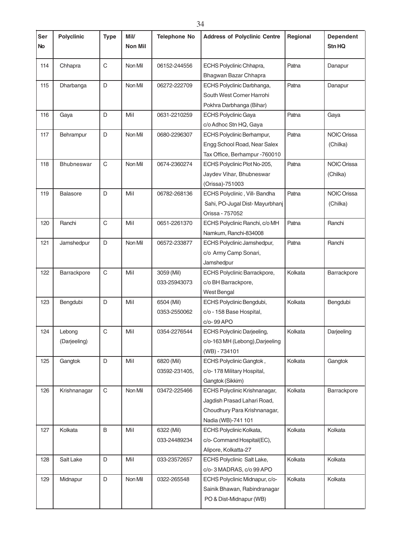| Ser<br><b>No</b> | <b>Polyclinic</b>      | <b>Type</b>  | Mil/<br><b>Non Mil</b> | <b>Telephone No</b>         | <b>Address of Polyclinic Centre</b>                                                                                | Regional | <b>Dependent</b><br>Stn HQ     |
|------------------|------------------------|--------------|------------------------|-----------------------------|--------------------------------------------------------------------------------------------------------------------|----------|--------------------------------|
| 114              | Chhapra                | $\mathsf{C}$ | Non Mil                | 06152-244556                | ECHS Polyclinic Chhapra,<br>Bhagwan Bazar Chhapra                                                                  | Patna    | Danapur                        |
| 115              | Dharbanga              | D            | Non Mil                | 06272-222709                | ECHS Polyclinic Darbhanga,<br>South West Corner Harrohi<br>Pokhra Darbhanga (Bihar)                                | Patna    | Danapur                        |
| 116              | Gaya                   | D            | Mil                    | 0631-2210259                | <b>ECHS Polyclinic Gaya</b><br>c/o Adhoc Stn HQ, Gaya                                                              | Patna    | Gaya                           |
| 117              | Behrampur              | D            | Non Mil                | 0680-2296307                | ECHS Polyclinic Berhampur,<br>Engg School Road, Near Salex<br>Tax Office, Berhampur -760010                        | Patna    | <b>NOIC Orissa</b><br>(Chilka) |
| 118              | <b>Bhubneswar</b>      | $\mathsf C$  | Non Mil                | 0674-2360274                | ECHS Polyclinic Plot No-205,<br>Jaydev Vihar, Bhubneswar<br>(Orissa)-751003                                        | Patna    | <b>NOIC Orissa</b><br>(Chilka) |
| 119              | <b>Balasore</b>        | D            | Mil                    | 06782-268136                | ECHS Polyclinic, Vill-Bandha<br>Sahi, PO-Jugal Dist-Mayurbhanj<br>Orissa - 757052                                  | Patna    | <b>NOIC Orissa</b><br>(Chilka) |
| 120              | Ranchi                 | $\mathsf C$  | Mil                    | 0651-2261370                | ECHS Polyclinic Ranchi, c/o MH<br>Namkum, Ranchi-834008                                                            | Patna    | Ranchi                         |
| 121              | Jamshedpur             | D            | Non Mil                | 06572-233877                | ECHS Polyclinic Jamshedpur,<br>c/o Army Camp Sonari,<br>Jamshedpur                                                 | Patna    | Ranchi                         |
| 122              | Barrackpore            | $\mathsf{C}$ | Mil                    | 3059 (Mil)<br>033-25943073  | ECHS Polyclinic Barrackpore,<br>c/o BH Barrackpore,<br>West Bengal                                                 | Kolkata  | Barrackpore                    |
| 123              | Bengdubi               | D            | Mil                    | 6504 (Mil)<br>0353-2550062  | ECHS Polyclinic Bengdubi,<br>c/o - 158 Base Hospital,<br>c/o-99 APO                                                | Kolkata  | Bengdubi                       |
| 124              | Lebong<br>(Darjeeling) | C            | Mil                    | 0354-2276544                | ECHS Polyclinic Darjeeling,<br>c/o-163 MH (Lebong), Darjeeling<br>(WB) - 734101                                    | Kolkata  | Darjeeling                     |
| 125              | Gangtok                | D            | Mil                    | 6820 (Mil)<br>03592-231405, | ECHS Polyclinic Gangtok,<br>c/o- 178 Military Hospital,<br>Gangtok (Sikkim)                                        | Kolkata  | Gangtok                        |
| 126              | Krishnanagar           | $\mathbf C$  | Non Mil                | 03472-225466                | ECHS Polyclinic Krishnanagar,<br>Jagdish Prasad Lahari Road,<br>Choudhury Para Krishnanagar,<br>Nadia (WB)-741 101 | Kolkata  | Barrackpore                    |
| 127              | Kolkata                | B            | Mil                    | 6322 (Mil)<br>033-24489234  | ECHS Polyclinic Kolkata,<br>c/o- Command Hospital(EC),<br>Alipore, Kolkatta-27                                     | Kolkata  | Kolkata                        |
| 128              | Salt Lake              | D            | Mil                    | 033-23572657                | ECHS Polyclinic Salt Lake,<br>c/o-3 MADRAS, c/o 99 APO                                                             | Kolkata  | Kolkata                        |
| 129              | Midnapur               | D            | Non Mil                | 0322-265548                 | ECHS Polyclinic Midnapur, c/o-<br>Sainik Bhawan, Rabindranagar<br>PO & Dist-Midnapur (WB)                          | Kolkata  | Kolkata                        |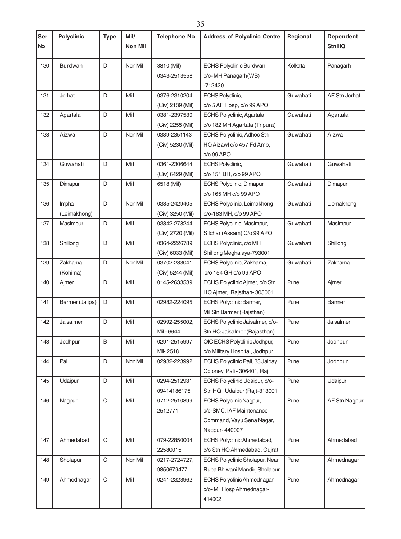| Ser<br><b>No</b> | <b>Polyclinic</b>      | <b>Type</b> | Mil/<br>Non Mil | <b>Telephone No</b>              | <b>Address of Polyclinic Centre</b>                                                                      | Regional | <b>Dependent</b><br>Stn HQ |
|------------------|------------------------|-------------|-----------------|----------------------------------|----------------------------------------------------------------------------------------------------------|----------|----------------------------|
| 130              | <b>Burdwan</b>         | D           | Non Mil         | 3810 (Mil)<br>0343-2513558       | ECHS Polyclinic Burdwan,<br>c/o-MH Panagarh(WB)<br>$-713420$                                             | Kolkata  | Panagarh                   |
| 131              | Jorhat                 | D           | Mil             | 0376-2310204<br>(Civ) 2139 (Mil) | ECHS Polyclinic,<br>c/o 5 AF Hosp, c/o 99 APO                                                            | Guwahati | AF Stn Jorhat              |
| 132              | Agartala               | D           | Mil             | 0381-2397530<br>(Civ) 2255 (Mil) | ECHS Polyclinic, Agartala,<br>c/o 182 MH Agartala (Tripura)                                              | Guwahati | Agartala                   |
| 133              | Aizwal                 | D           | Non Mil         | 0389-2351143<br>(Civ) 5230 (Mil) | ECHS Polyclinic, Adhoc Stn<br>HQ Aizawl c/o 457 Fd Amb,<br>$c$ / $o$ 99 APO                              | Guwahati | Aizwal                     |
| 134              | Guwahati               | D           | Mil             | 0361-2306644<br>(Civ) 6429 (Mil) | ECHS Polyclinic,<br>c/o 151 BH, c/o 99 APO                                                               | Guwahati | Guwahati                   |
| 135              | Dimapur                | D           | Mil             | 6518 (Mil)                       | ECHS Polyclinic, Dimapur<br>c/o 165 MH c/o 99 APO                                                        | Guwahati | Dimapur                    |
| 136              | Imphal<br>(Leimakhong) | D           | Non Mil         | 0385-2429405<br>(Civ) 3250 (Mil) | ECHS Polyclinic, Leimakhong<br>c/o-183 MH, c/o 99 APO                                                    | Guwahati | Liemakhong                 |
| 137              | Masimpur               | D           | Mil             | 03842-278244<br>(Civ) 2720 (Mil) | ECHS Polyclinic, Masimpur,<br>Silchar (Assam) C/o 99 APO                                                 | Guwahati | Masimpur                   |
| 138              | Shillong               | D           | Mil             | 0364-2226789<br>(Civ) 6033 (Mil) | ECHS Polyclinic, c/o MH<br>Shillong Meghalaya-793001                                                     | Guwahati | Shillong                   |
| 139              | Zakhama<br>(Kohima)    | D           | Non Mil         | 03702-233041<br>(Civ) 5244 (Mil) | ECHS Polyclinic, Zakhama,<br>c/o 154 GH c/o 99 APO                                                       | Guwahati | Zakhama                    |
| 140              | Ajmer                  | D           | Mil             | 0145-2633539                     | ECHS Polyclinic Ajmer, c/o Stn<br>HQ Ajmer, Rajsthan-305001                                              | Pune     | Ajmer                      |
| 141              | Barmer (Jalipa)        | D           | Mil             | 02982-224095                     | <b>ECHS Polyclinic Barmer,</b><br>Mil Stn Barmer (Rajsthan)                                              | Pune     | <b>Barmer</b>              |
| 142              | Jaisalmer              | D           | Mil             | 02992-255002,<br>Mil-6644        | ECHS Polyclinic Jaisalmer, c/o-<br>Stn HQ Jaisalmer (Rajasthan)                                          | Pune     | Jaisalmer                  |
| 143              | Jodhpur                | B           | Mil             | 0291-2515997,<br>Mil-2518        | OIC ECHS Polyclinic Jodhpur,<br>c/o Military Hospital, Jodhpur                                           | Pune     | Jodhpur                    |
| 144              | Pali                   | D           | Non Mil         | 02932-223992                     | ECHS Polyclinic Pali, 33 Jalday<br>Coloney, Pali - 306401, Raj                                           | Pune     | Jodhpur                    |
| 145              | Udaipur                | D           | Mil             | 0294-2512931<br>09414186175      | ECHS Polyclinic Udaipur, c/o-<br>Stn HQ, Udaipur (Raj)-313001                                            | Pune     | Udaipur                    |
| 146              | Nagpur                 | C           | Mil             | 0712-2510899,<br>2512771         | <b>ECHS Polyclinic Nagpur,</b><br>c/o-SMC, IAF Maintenance<br>Command, Vayu Sena Nagar,<br>Nagpur-440007 | Pune     | AF Stn Nagpur              |
| 147              | Ahmedabad              | C           | Mil             | 079-22850004,<br>22580015        | ECHS Polyclinic Ahmedabad,<br>c/o Stn HQ Ahmedabad, Gujrat                                               | Pune     | Ahmedabad                  |
| 148              | Sholapur               | $\mathbf C$ | Non Mil         | 0217-2724727,<br>9850679477      | ECHS Polyclinic Sholapur, Near<br>Rupa Bhiwani Mandir, Sholapur                                          | Pune     | Ahmednagar                 |
| 149              | Ahmednagar             | $\mathbf C$ | Mil             | 0241-2323962                     | ECHS Polyclinic Ahmednagar,<br>c/o-Mil Hosp Ahmednagar-<br>414002                                        | Pune     | Ahmednagar                 |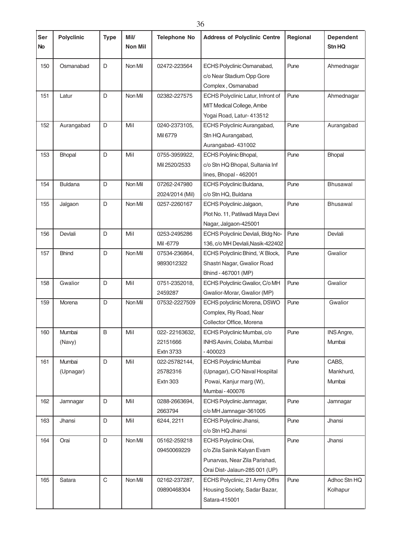| Ser<br><b>No</b> | <b>Polyclinic</b>   | <b>Type</b> | Mil/<br>Non Mil | <b>Telephone No</b>                           | <b>Address of Polyclinic Centre</b>                                                                                     | Regional           | <b>Dependent</b><br><b>Stn HQ</b> |
|------------------|---------------------|-------------|-----------------|-----------------------------------------------|-------------------------------------------------------------------------------------------------------------------------|--------------------|-----------------------------------|
| 150              | Osmanabad           | D           | Non Mil         | 02472-223564                                  | Pune<br>ECHS Polyclinic Osmanabad,<br>c/o Near Stadium Opp Gore<br>Complex, Osmanabad                                   |                    | Ahmednagar                        |
| 151              | Latur               | D           | Non Mil         | 02382-227575                                  | ECHS Polyclinic Latur, Infront of<br>MIT Medical College, Ambe<br>Yogai Road, Latur- 413512                             | Pune               |                                   |
| 152              | Aurangabad          | D           | Mil             | 0240-2373105,<br>Mil 6779                     | ECHS Polyclinic Aurangabad,<br>Stn HQ Aurangabad,<br>Aurangabad-431002                                                  | Pune<br>Aurangabad |                                   |
| 153              | <b>Bhopal</b>       | D           | Mil             | 0755-3959922,<br>Mil 2520/2533                | <b>ECHS Polylinic Bhopal,</b><br>c/o Stn HQ Bhopal, Sultania Inf<br>lines, Bhopal - 462001                              | Pune               | <b>Bhopal</b>                     |
| 154              | <b>Buldana</b>      | D           | Non Mil         | 07262-247980<br>2024/2014 (Mil)               | ECHS Polyclinic Buldana,<br>c/o Stn HQ, Buldana                                                                         | Pune               | <b>Bhusawal</b>                   |
| 155              | Jalgaon             | D           | Non Mil         | 0257-2260167                                  | ECHS Polyclinic Jalgaon,<br>Plot No. 11, Patilwadi Maya Devi<br>Nagar, Jalgaon-425001                                   | Pune               | <b>Bhusawal</b>                   |
| 156              | Devlali             | D           | Mil             | 0253-2495286<br>Mil-6779                      | ECHS Polyclinic Devlali, Bldg No-<br>136, c/o MH Devlali, Nasik-422402                                                  | Pune               | Devlali                           |
| 157              | <b>Bhind</b>        | D           | Non Mil         | 07534-236864,<br>9893012322                   | ECHS Polyclinic Bhind, 'A' Block,<br>Shastri Nagar, Gwalior Road<br>Bhind - 467001 (MP)                                 | Pune               | Gwalior                           |
| 158              | Gwalior             | D           | Mil             | 0751-2352018,<br>2459287                      | ECHS Polyclinic Gwalior, C/o MH<br>Gwalior-Morar, Gwalior (MP)                                                          | Pune               | Gwalior                           |
| 159              | Morena              | D           | Non Mil         | 07532-2227509                                 | ECHS polyclinic Morena, DSWO<br>Complex, Rly Road, Near<br>Collector Office, Morena                                     | Pune               | Gwalior                           |
| 160              | Mumbai<br>(Navy)    | B           | Mil             | 022-22163632,<br>22151666<br><b>Extn 3733</b> | ECHS Polyclinic Mumbai, c/o<br>INHS Asvini, Colaba, Mumbai<br>$-400023$                                                 | Pune               | INS Angre,<br>Mumbai              |
| 161              | Mumbai<br>(Upnagar) | D           | Mil             | 022-25782144,<br>25782316<br><b>Extn 303</b>  | ECHS Polyclinic Mumbai<br>(Upnagar), C/O Naval Hospiital<br>Powai, Kanjur marg (W),<br>Mumbai - 400076                  | Pune               | CABS,<br>Mankhurd,<br>Mumbai      |
| 162              | Jamnagar            | D           | Mil             | 0288-2663694,<br>2663794                      | ECHS Polyclinic Jamnagar,<br>c/o MH Jamnagar-361005                                                                     | Pune               | Jamnagar                          |
| 163              | Jhansi              | D           | Mil             | 6244, 2211                                    | ECHS Polyclinic Jhansi,<br>c/o Stn HQ Jhansi                                                                            | Pune               | Jhansi                            |
| 164              | Orai                | D           | Non Mil         | 05162-259218<br>09450069229                   | ECHS Polyclinic Orai,<br>c/o Zila Sainik Kalyan Evam<br>Punarvas, Near Zila Parishad,<br>Orai Dist- Jalaun-285 001 (UP) | Pune               | Jhansi                            |
| 165              | Satara              | $\mathsf C$ | Non Mil         | 02162-237287,<br>09890468304                  | ECHS Polyclinic, 21 Army Offrs<br>Housing Society, Sadar Bazar,<br>Satara-415001                                        | Pune               | Adhoc Stn HQ<br>Kolhapur          |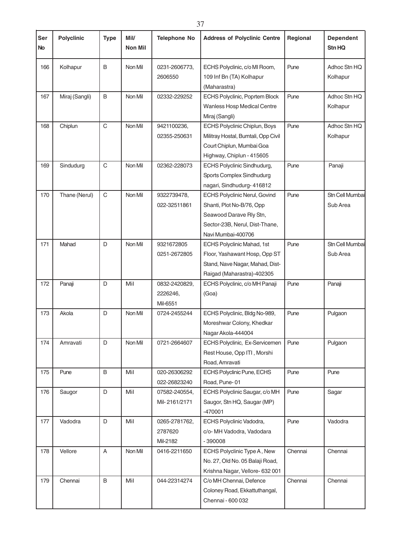| Ser<br><b>No</b> | <b>Polyclinic</b> | <b>Type</b> | Mil/<br><b>Non Mil</b> | <b>Telephone No</b>                   | <b>Address of Polyclinic Centre</b><br>Regional                                                                                                      |         | <b>Dependent</b><br>Stn HQ  |
|------------------|-------------------|-------------|------------------------|---------------------------------------|------------------------------------------------------------------------------------------------------------------------------------------------------|---------|-----------------------------|
| 166              | Kolhapur          | B           | Non Mil                | 0231-2606773,<br>2606550              | ECHS Polyclinic, c/o MI Room,<br>Pune<br>109 Inf Bn (TA) Kolhapur<br>(Maharastra)                                                                    |         | Adhoc Stn HQ<br>Kolhapur    |
| 167              | Miraj (Sangli)    | B           | Non Mil                | 02332-229252                          | ECHS Polyclinic, Poprtem Block<br>Wanless Hosp Medical Centre<br>Miraj (Sangli)                                                                      | Pune    | Adhoc Stn HQ<br>Kolhapur    |
| 168              | Chiplun           | C           | Non Mil                | 9421100236,<br>02355-250631           | Pune<br><b>ECHS Polyclinic Chiplun, Boys</b><br>Militray Hostal, Bumtali, Opp Civil<br>Court Chiplun, Mumbai Goa<br>Highway, Chiplun - 415605        |         | Adhoc Stn HQ<br>Kolhapur    |
| 169              | Sindudurg         | C           | Non Mil                | 02362-228073                          | ECHS Polyclinic Sindhudurg,<br>Sports Complex Sindhudurg<br>nagari, Sindhudurg- 416812                                                               | Pune    | Panaji                      |
| 170              | Thane (Nerul)     | $\mathsf C$ | Non Mil                | 9322739478,<br>022-32511861           | <b>ECHS Polyclinic Nerul, Govind</b><br>Shanti, Plot No-B/76, Opp<br>Seawood Darave Rly Stn,<br>Sector-23B, Nerul, Dist-Thane,<br>Navi Mumbai-400706 | Pune    | Stn Cell Mumbai<br>Sub Area |
| 171              | Mahad             | D           | Non Mil                | 9321672805<br>0251-2672805            | ECHS Polyclinic Mahad, 1st<br>Floor, Yashawant Hosp, Opp ST<br>Stand, Nave Nagar, Mahad, Dist-<br>Raigad (Maharastra)-402305                         | Pune    | Stn Cell Mumbai<br>Sub Area |
| 172              | Panaji            | D           | Mil                    | 0832-2420829,<br>2226246,<br>Mil-6551 | ECHS Polyclinic, c/o MH Panaji<br>(Goa)                                                                                                              | Pune    | Panaji                      |
| 173              | Akola             | D           | Non Mil                | 0724-2455244                          | ECHS Polyclinic, Bldg No-989,<br>Moreshwar Colony, Khedkar<br>Nagar Akola-444004                                                                     | Pune    | Pulgaon                     |
| 174              | Amravati          | D           | Non Mil                | 0721-2664607                          | ECHS Polyclinic, Ex-Servicemen<br>Rest House, Opp ITI, Morshi<br>Road, Amravati                                                                      | Pune    | Pulgaon                     |
| 175              | Pune              | B           | Mil                    | 020-26306292<br>022-26823240          | ECHS Polyclinic Pune, ECHS<br>Road, Pune-01                                                                                                          | Pune    | Pune                        |
| 176              | Saugor            | D           | Mil                    | 07582-240554,<br>Mil-2161/2171        | ECHS Polyclinic Saugar, c/o MH<br>Saugor, Stn HQ, Saugar (MP)<br>-470001                                                                             | Pune    | Sagar                       |
| 177              | Vadodra           | D           | Mil                    | 0265-2781762,<br>2787620<br>Mil-2182  | ECHS Polyclinic Vadodra,<br>c/o- MH Vadodra, Vadodara<br>$-390008$                                                                                   | Pune    | Vadodra                     |
| 178              | Vellore           | A           | Non Mil                | 0416-2211650                          | ECHS Polyclinic Type A, New<br>No. 27, Old No. 05 Balaji Road,<br>Krishna Nagar, Vellore- 632 001                                                    | Chennai | Chennai                     |
| 179              | Chennai           | B           | Mil                    | 044-22314274                          | C/o MH Chennai, Defence<br>Coloney Road, Ekkattuthangal,<br>Chennai - 600 032                                                                        | Chennai | Chennai                     |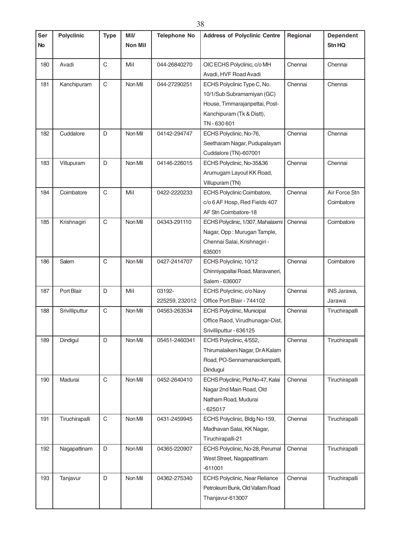| Ser       | <b>Polyclinic</b> | <b>Type</b> | Mil/           | <b>Telephone No</b> | <b>Address of Polyclinic Centre</b> | Regional | <b>Dependent</b> |
|-----------|-------------------|-------------|----------------|---------------------|-------------------------------------|----------|------------------|
| <b>No</b> |                   |             | <b>Non Mil</b> |                     |                                     |          | Stn HQ           |
|           |                   |             |                |                     |                                     |          |                  |
| 180       | Avadi             | $\mathsf C$ | Mil            | 044-26840270        | OIC ECHS Polyclinic, c/o MH         | Chennai  | Chennai          |
|           |                   |             |                |                     | Avadi, HVF Road Avadi               |          |                  |
| 181       | Kanchipuram       | $\mathsf C$ | Non Mil        | 044-27290251        | ECHS Polyclinic Type C, No.         | Chennai  | Chennai          |
|           |                   |             |                |                     | 10/1/Sub Subramamiyan (GC)          |          |                  |
|           |                   |             |                |                     | House, Timmarajanpettai, Post-      |          |                  |
|           |                   |             |                |                     | Kanchipuram (Tk & Distt),           |          |                  |
|           |                   |             |                |                     | TN-630601                           |          |                  |
| 182       | Cuddalore         | D           | Non Mil        | 04142-294747        | ECHS Polyclinic, No-76,             | Chennai  | Chennai          |
|           |                   |             |                |                     | Seetharam Nagar, Pudupalayam        |          |                  |
|           |                   |             |                |                     | Cuddalore (TN)-607001               |          |                  |
| 183       | Villupuram        | D           | Non Mil        | 04146-226015        | ECHS Polyclinic, No-35&36           | Chennai  | Chennai          |
|           |                   |             |                |                     | Arumugam Layout KK Road,            |          |                  |
|           |                   |             |                |                     | Villupuram (TN)                     |          |                  |
| 184       | Coimbatore        | $\mathsf C$ | Mil            | 0422-2220233        | ECHS Polyclinic Coimbatore,         | Chennai  | Air Force Stn    |
|           |                   |             |                |                     | c/o 6 AF Hosp, Red Fields 407       |          | Coimbatore       |
|           |                   |             |                |                     | AF Stn Coimbatore-18                |          |                  |
| 185       | Krishnagiri       | $\mathsf C$ | Non Mil        | 04343-291110        | ECHS Polyclinic, 1/307, Mahalaxmi   | Chennai  | Coimbatore       |
|           |                   |             |                |                     | Nagar, Opp: Murugan Tample,         |          |                  |
|           |                   |             |                |                     | Chennai Salai, Krishnagiri -        |          |                  |
|           |                   |             |                |                     | 635001                              |          |                  |
| 186       | Salem             | $\mathsf C$ | Non Mil        | 0427-2414707        | ECHS Polyclinic, 10/12              | Chennai  | Coimbatore       |
|           |                   |             |                |                     | Chinniyapallai Road, Maravaneri,    |          |                  |
|           |                   |             |                |                     | Salem - 636007                      |          |                  |
| 187       | Port Blair        | D           | Mil            | 03192-              | ECHS Polyclinic, c/o Navy           | Chennai  | INS Jarawa,      |
|           |                   |             |                | 225259, 232012      | Office Port Blair - 744102          |          | Jarawa           |
| 188       | Srivilliputtur    | $\mathsf C$ | Non Mil        | 04563-263534        | <b>ECHS Polyclinic, Municipal</b>   | Chennai  | Tiruchirapalli   |
|           |                   |             |                |                     | Office Raod, Virudhunagar-Dist,     |          |                  |
|           |                   |             |                |                     | Srivilliputtur - 636125             |          |                  |
| 189       | Dindigul          | D           | Non Mil        | 05451-2460341       | ECHS Polyclinic, 4/552,             | Chennai  | Tiruchirapalli   |
|           |                   |             |                |                     | Thirumalaikeni Nagar, Dr A Kalam    |          |                  |
|           |                   |             |                |                     | Road, PO-Sennamanaickenpatti,       |          |                  |
|           |                   |             |                |                     | Dindugul                            |          |                  |
| 190       | Madurai           | $\mathbf C$ | Non Mil        | 0452-2640410        | ECHS Polyclinic, Plot No-47, Kalai  | Chennai  | Tiruchirapalli   |
|           |                   |             |                |                     | Nagar 2nd Main Road, Old            |          |                  |
|           |                   |             |                |                     | Natham Road, Mudurai                |          |                  |
|           |                   |             |                |                     | $-625017$                           |          |                  |
| 191       | Tiruchirapalli    | $\mathsf C$ | Non Mil        | 0431-2459945        | ECHS Polyclinic, Bldg No-159,       | Chennai  | Tiruchirapalli   |
|           |                   |             |                |                     | Madhavan Salai, KK Nagar,           |          |                  |
|           |                   |             |                |                     | Tiruchirapalli-21                   |          |                  |
| 192       | Nagapattinam      | D           | Non Mil        | 04365-220907        | ECHS Polyclinic, No-28, Perumal     | Chennai  | Tiruchirapalli   |
|           |                   |             |                |                     | West Street, Nagapattinam           |          |                  |
|           |                   |             |                |                     | $-611001$                           |          |                  |
| 193       | Tanjavur          | D           | Non Mil        | 04362-275340        | ECHS Polyclinic, Near Reliance      | Chennai  | Tiruchirapalli   |
|           |                   |             |                |                     | Petroleum Bunk, Old Vallam Road     |          |                  |
|           |                   |             |                |                     | Thanjavur-613007                    |          |                  |
|           |                   |             |                |                     |                                     |          |                  |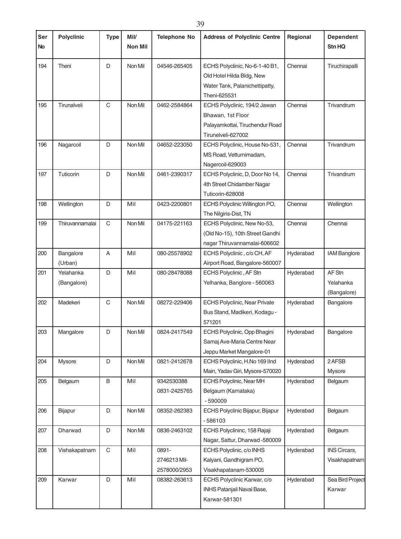| Ser<br><b>No</b> | <b>Polyclinic</b>        | <b>Type</b> | Mil/<br>Non Mil | <b>Telephone No</b>                   | <b>Address of Polyclinic Centre</b>                                                                                   | Regional  | <b>Dependent</b><br>Stn HQ         |
|------------------|--------------------------|-------------|-----------------|---------------------------------------|-----------------------------------------------------------------------------------------------------------------------|-----------|------------------------------------|
| 194              | Theni                    | D           | Non Mil         | 04546-265405                          | ECHS Polyclinic, No-6-1-40 B1,<br>Old Hotel Hilda Bldg, New<br>Water Tank, Palanichettipatty,<br>Theni-625531         | Chennai   | Tiruchirapalli                     |
| 195              | Tirunalveli              | C           | Non Mil         | 0462-2584864                          | ECHS Polyclinic, 194/2 Jawan<br>Chennai<br>Bhawan, 1st Floor<br>Palayamkottai, Tiruchendur Road<br>Tirunelveli-627002 |           | Trivandrum                         |
| 196              | Nagarcoil                | D           | Non Mil         | 04652-223050                          | ECHS Polyclinic, House No-531,<br>MS Road, Vetturnimadam,<br>Nagercoil-629003                                         | Chennai   | Trivandrum                         |
| 197              | Tuticorin                | D           | Non Mil         | 0461-2390317                          | ECHS Polyclinic, D, Door No 14,<br>4th Street Chidamber Nagar<br>Tuticorin-628008                                     | Chennai   | Trivandrum                         |
| 198              | Wellington               | D           | Mil             | 0423-2200801                          | ECHS Polyclinic Willington PO,<br>The Nilgiris-Dist, TN                                                               | Chennai   | Wellington                         |
| 199              | Thiruvannamalai          | $\mathsf C$ | Non Mil         | 04175-221163                          | ECHS Polyclinic, New No-53,<br>(Old No-15), 10th Street Gandhi<br>nagar Thiruvannamalai-606602                        | Chennai   | Chennai                            |
| 200              | Bangalore<br>(Urban)     | A           | Mil             | 080-25578902                          | ECHS Polyclinic, c/o CH, AF<br>Airport Road, Bangalore-560007                                                         | Hyderabad | <b>IAM Banglore</b>                |
| 201              | Yelahanka<br>(Bangalore) | D           | Mil             | 080-28478088                          | ECHS Polyclinic, AF Stn<br>Yelhanka, Banglore - 560063                                                                | Hyderabad | AF Stn<br>Yelahanka<br>(Bangalore) |
| 202              | Madekeri                 | C           | Non Mil         | 08272-229406                          | ECHS Polyclinic, Near Private<br>Hyderabad<br>Bus Stand, Madikeri, Kodagu -<br>571201                                 |           | Bangalore                          |
| 203              | Mangalore                | D           | Non Mil         | 0824-2417549                          | ECHS Polyclinic, Opp Bhagini<br>Samaj Ave-Maria Centre Near<br>Jeppu Market Mangalore-01                              | Hyderabad | Bangalore                          |
| 204              | Mysore                   | D           | Non Mil         | 0821-2412678                          | ECHS Polyclinic, H.No 169 IInd<br>Main, Yadav Giri, Mysore-570020                                                     | Hyderabad | 2 AFSB<br>Mysore                   |
| 205              | Belgaum                  | B           | Mil             | 9342530388<br>0831-2425765            | ECHS Polyclinic, Near MH<br>Belgaum (Karnataka)<br>$-590009$                                                          | Hyderabad | Belgaum                            |
| 206              | Bijapur                  | D           | Non Mil         | 08352-262383                          | ECHS Polyclinic Bijapur, Bijapur<br>$-586103$                                                                         | Hyderabad | Belgaum                            |
| 207              | Dharwad                  | D           | Non Mil         | 0836-2463102                          | ECHS Polyclininc, 158 Rajaji<br>Nagar, Sattur, Dharwad -580009                                                        | Hyderabad | Belgaum                            |
| 208              | Vishakapatnam            | C           | Mil             | 0891-<br>2746213 Mil-<br>2578000/2953 | ECHS Polyclinic, c/o INHS<br>Kalyani, Gandhigram PO,<br>Visakhapatanam-530005                                         | Hyderabad | INS Circars,<br>Visakhapatnam      |
| 209              | Karwar                   | D           | Mil             | 08382-263613                          | ECHS Polyclinic Karwar, c/o<br>INHS Patanjali Naval Base,<br>Karwar-581301                                            | Hyderabad | Sea Bird Project<br>Karwar         |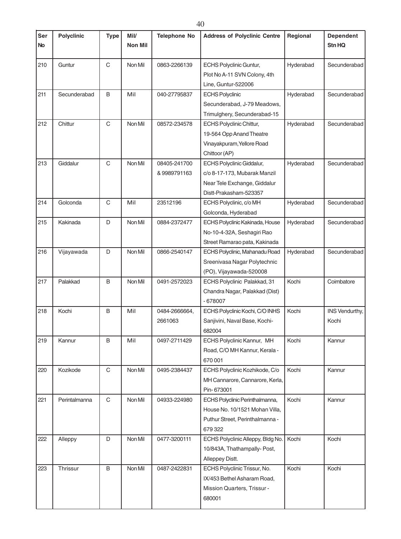| Ser<br><b>No</b> | <b>Polyclinic</b> | <b>Type</b> | Mil/<br><b>Non Mil</b> | <b>Telephone No</b> | <b>Address of Polyclinic Centre</b> | Regional  | <b>Dependent</b><br>Stn HQ |
|------------------|-------------------|-------------|------------------------|---------------------|-------------------------------------|-----------|----------------------------|
|                  |                   |             |                        |                     |                                     |           |                            |
| 210              | Guntur            | $\mathsf C$ | Non Mil                | 0863-2266139        | <b>ECHS Polyclinic Guntur,</b>      | Hyderabad | Secunderabad               |
|                  |                   |             |                        |                     | Plot No A-11 SVN Colony, 4th        |           |                            |
|                  |                   |             |                        |                     | Line, Guntur-522006                 |           |                            |
| 211              | Secunderabad      | B           | Mil                    | 040-27795837        | <b>ECHS Polyclinic</b>              | Hyderabad | Secunderabad               |
|                  |                   |             |                        |                     | Secunderabad, J-79 Meadows,         |           |                            |
|                  |                   |             |                        |                     | Trimulghery, Secunderabad-15        |           |                            |
| 212              | Chittur           | $\mathsf C$ | Non Mil                | 08572-234578        | <b>ECHS Polyclinic Chittur,</b>     | Hyderabad | Secunderabad               |
|                  |                   |             |                        |                     | 19-564 Opp Anand Theatre            |           |                            |
|                  |                   |             |                        |                     | Vinayakpuram, Yellore Road          |           |                            |
|                  |                   |             |                        |                     | Chittoor (AP)                       |           |                            |
| 213              | Giddalur          | $\mathsf C$ | Non Mil                | 08405-241700        | <b>ECHS Polyclinic Giddalur,</b>    | Hyderabad | Secunderabad               |
|                  |                   |             |                        | &9989791163         | c/o 8-17-173, Mubarak Manzil        |           |                            |
|                  |                   |             |                        |                     | Near Tele Exchange, Giddalur        |           |                            |
|                  |                   |             |                        |                     | Distt-Prakasham-523357              |           |                            |
| 214              | Golconda          | C           | Mil                    | 23512196            | ECHS Polyclinic, c/o MH             | Hyderabad | Secunderabad               |
|                  |                   |             |                        |                     | Golconda, Hyderabad                 |           |                            |
| 215              | Kakinada          | D           | Non Mil                | 0884-2372477        | ECHS Polyclinic Kakinada, House     | Hyderabad | Secunderabad               |
|                  |                   |             |                        |                     | No-10-4-32A, Seshagiri Rao          |           |                            |
|                  |                   |             |                        |                     | Street Ramarao pata, Kakinada       |           |                            |
| 216              | Vijayawada        | D           | Non Mil                | 0866-2540147        | ECHS Polyclinic, Mahanadu Road      | Hyderabad | Secunderabad               |
|                  |                   |             |                        |                     | Sreenivasa Nagar Polytechnic        |           |                            |
|                  |                   |             |                        |                     | (PO), Vijayawada-520008             |           |                            |
| 217              | Palakkad          | B           | Non Mil                | 0491-2572023        | ECHS Polyclinic Palakkad, 31        | Kochi     | Coimbatore                 |
|                  |                   |             |                        |                     | Chandra Nagar, Palakkad (Dist)      |           |                            |
|                  |                   |             |                        |                     | $-678007$                           |           |                            |
| 218              | Kochi             | B           | Mil                    | 0484-2666664,       | ECHS Polyclinic Kochi, C/O INHS     | Kochi     | INS Vendurthy,             |
|                  |                   |             |                        | 2661063             | Sanjivini, Naval Base, Kochi-       |           | Kochi                      |
|                  |                   |             |                        |                     | 682004                              |           |                            |
| 219              | Kannur            | B           | Mil                    | 0497-2711429        | ECHS Polyclinic Kannur, MH          | Kochi     | Kannur                     |
|                  |                   |             |                        |                     | Road, C/O MH Kannur, Kerala -       |           |                            |
|                  |                   |             |                        |                     | 670001                              |           |                            |
| 220              | Kozikode          | C           | Non Mil                | 0495-2384437        | ECHS Polyclinic Kozhikode, C/o      | Kochi     | Kannur                     |
|                  |                   |             |                        |                     | MH Cannarore, Cannarore, Kerla,     |           |                            |
|                  |                   |             |                        |                     | Pin-673001                          |           |                            |
| 221              | Perintalmanna     | $\mathsf C$ | Non Mil                | 04933-224980        | ECHS Polyclinic Perinthalmanna,     | Kochi     | Kannur                     |
|                  |                   |             |                        |                     | House No. 10/1521 Mohan Villa,      |           |                            |
|                  |                   |             |                        |                     | Puthur Street, Perinthalmanna -     |           |                            |
|                  |                   |             |                        |                     | 679322                              |           |                            |
| 222              | Alleppy           | D           | Non Mil                | 0477-3200111        | ECHS Polyclinic Alleppy, Bldg No.   | Kochi     | Kochi                      |
|                  |                   |             |                        |                     | 10/843A, Thathampally-Post,         |           |                            |
|                  |                   |             |                        |                     | Alleppey Distt.                     |           |                            |
| 223              | Thrissur          | B           | Non Mil                | 0487-2422831        | ECHS Polyclinic Trissur, No.        | Kochi     | Kochi                      |
|                  |                   |             |                        |                     | IX/453 Bethel Asharam Road,         |           |                            |
|                  |                   |             |                        |                     | Mission Quarters, Trissur -         |           |                            |
|                  |                   |             |                        |                     | 680001                              |           |                            |
|                  |                   |             |                        |                     |                                     |           |                            |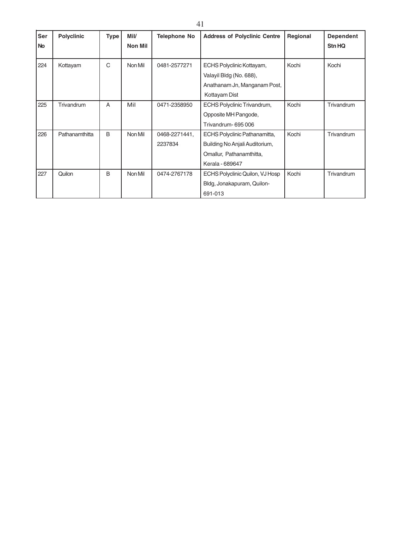| Ser<br>No | <b>Polyclinic</b> | <b>Type</b> | Mil/<br>Non Mil | <b>Telephone No</b> | <b>Address of Polyclinic Centre</b> | Regional | <b>Dependent</b><br><b>Stn HQ</b> |
|-----------|-------------------|-------------|-----------------|---------------------|-------------------------------------|----------|-----------------------------------|
| 224       | Kottayam          | C           | Non Mil         | 0481-2577271        | ECHS Polyclinic Kottayam,           | Kochi    | Kochi                             |
|           |                   |             |                 |                     | Valayil Bldg (No. 688),             |          |                                   |
|           |                   |             |                 |                     | Anathanam Jn, Manganam Post,        |          |                                   |
|           |                   |             |                 |                     | Kottayam Dist                       |          |                                   |
| 225       | Trivandrum        | A           | Mil             | 0471-2358950        | ECHS Polyclinic Trivandrum,         | Kochi    | Trivandrum                        |
|           |                   |             |                 |                     | Opposite MH Pangode,                |          |                                   |
|           |                   |             |                 |                     | Trivandrum-695006                   |          |                                   |
| 226       | Pathanamthitta    | B           | Non Mil         | 0468-2271441,       | ECHS Polyclinic Pathanamitta,       | Kochi    | Trivandrum                        |
|           |                   |             |                 | 2237834             | Building No Anjali Auditorium,      |          |                                   |
|           |                   |             |                 |                     | Omallur, Pathanamthitta,            |          |                                   |
|           |                   |             |                 |                     | Kerala - 689647                     |          |                                   |
| 227       | Quilon            | B           | Non Mil         | 0474-2767178        | ECHS Polyclinic Quilon, VJ Hosp     | Kochi    | Trivandrum                        |
|           |                   |             |                 |                     | Bldg, Jonakapuram, Quilon-          |          |                                   |
|           |                   |             |                 |                     | 691-013                             |          |                                   |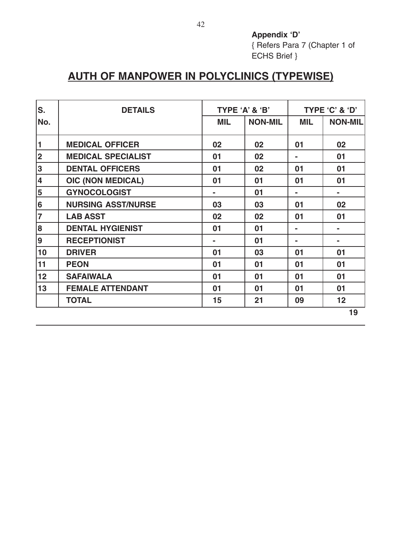**Appendix 'D'** { Refers Para 7 (Chapter 1 of ECHS Brief }

## **AUTH OF MANPOWER IN POLYCLINICS (TYPEWISE)**

| S.             | <b>DETAILS</b>            |     | TYPE 'A' & 'B' |                | TYPE 'C' & 'D' |
|----------------|---------------------------|-----|----------------|----------------|----------------|
| No.            |                           | MIL | <b>NON-MIL</b> | MIL            | <b>NON-MIL</b> |
| $\vert$ 1      | <b>MEDICAL OFFICER</b>    | 02  | 02             | 01             | 02             |
| $\vert$ 2      | <b>MEDICAL SPECIALIST</b> | 01  | 02             | $\blacksquare$ | 01             |
| 3              | <b>DENTAL OFFICERS</b>    | 01  | 02             | 01             | 01             |
| 4              | <b>OIC (NON MEDICAL)</b>  | 01  | 01             | 01             | 01             |
| $\overline{5}$ | <b>GYNOCOLOGIST</b>       |     | 01             |                |                |
| $\vert$ 6      | <b>NURSING ASST/NURSE</b> | 03  | 03             | 01             | 02             |
| $\overline{7}$ | <b>LAB ASST</b>           | 02  | 02             | 01             | 01             |
| $\boxed{8}$    | <b>DENTAL HYGIENIST</b>   | 01  | 01             | $\blacksquare$ |                |
| 9              | <b>RECEPTIONIST</b>       | ۰   | 01             | ۰              | -              |
| 10             | <b>DRIVER</b>             | 01  | 03             | 01             | 01             |
| 11             | <b>PEON</b>               | 01  | 01             | 01             | 01             |
| 12             | <b>SAFAIWALA</b>          | 01  | 01             | 01             | 01             |
| 13             | <b>FEMALE ATTENDANT</b>   | 01  | 01             | 01             | 01             |
|                | <b>TOTAL</b>              | 15  | 21             | 09             | 12             |
|                |                           |     |                |                | 19             |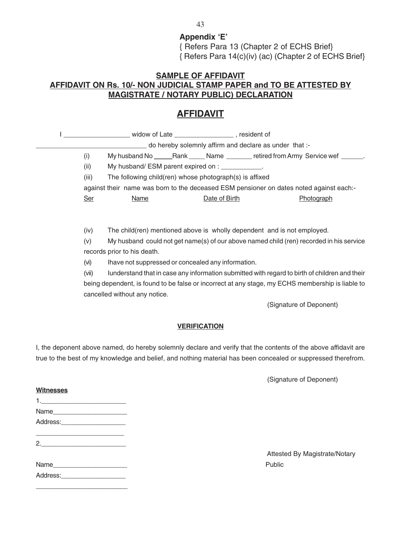**Appendix 'E'** { Refers Para 13 (Chapter 2 of ECHS Brief} { Refers Para 14(c)(iv) (ac) (Chapter 2 of ECHS Brief}

## **SAMPLE OF AFFIDAVIT AFFIDAVIT ON Rs. 10/- NON JUDICIAL STAMP PAPER and TO BE ATTESTED BY MAGISTRATE / NOTARY PUBLIC) DECLARATION**

## **AFFIDAVIT**

|            | ___________________ widow of Late ________________________, resident of                 |                     |                                                         |                                                                                                                 |
|------------|-----------------------------------------------------------------------------------------|---------------------|---------------------------------------------------------|-----------------------------------------------------------------------------------------------------------------|
|            |                                                                                         |                     |                                                         |                                                                                                                 |
|            |                                                                                         |                     | - do hereby solemnly affirm and declare as under that:- |                                                                                                                 |
| (i)        |                                                                                         |                     |                                                         |                                                                                                                 |
| (ii)       | My husband/ ESM parent expired on : ____________.                                       |                     |                                                         |                                                                                                                 |
| (iii)      | The following child(ren) whose photograph(s) is affixed                                 |                     |                                                         |                                                                                                                 |
|            | against their name was born to the deceased ESM pensioner on dates noted against each:- |                     |                                                         |                                                                                                                 |
| <b>Ser</b> | Name                                                                                    | Date of Birth       |                                                         | Photograph                                                                                                      |
|            |                                                                                         |                     |                                                         |                                                                                                                 |
|            |                                                                                         |                     |                                                         |                                                                                                                 |
| (iv)       | The child(ren) mentioned above is wholly dependent and is not employed.                 |                     |                                                         |                                                                                                                 |
| (v)        |                                                                                         |                     |                                                         | My husband could not get name(s) of our above named child (ren) recorded in his service                         |
|            | records prior to his death.                                                             |                     |                                                         |                                                                                                                 |
| (vi)       | Ihave not suppressed or concealed any information.                                      |                     |                                                         |                                                                                                                 |
| (vii)      |                                                                                         |                     |                                                         | lunderstand that in case any information submitted with regard to birth of children and their                   |
|            |                                                                                         |                     |                                                         | being dependent, is found to be false or incorrect at any stage, my ECHS membership is liable to                |
|            | cancelled without any notice.                                                           |                     |                                                         |                                                                                                                 |
|            |                                                                                         |                     |                                                         |                                                                                                                 |
|            |                                                                                         |                     |                                                         | (Signature of Deponent)                                                                                         |
|            |                                                                                         |                     |                                                         |                                                                                                                 |
|            |                                                                                         | <b>VERIFICATION</b> |                                                         |                                                                                                                 |
|            |                                                                                         |                     |                                                         |                                                                                                                 |
|            |                                                                                         |                     |                                                         | I, the deponent above named, do hereby solemnly declare and verify that the contents of the above affidavit are |
|            |                                                                                         |                     |                                                         | true to the best of my knowledge and belief, and nothing material has been concealed or suppressed therefrom.   |

(Signature of Deponent)

| <b>Witnesses</b> |  |
|------------------|--|
|                  |  |
| Name             |  |
|                  |  |
|                  |  |
|                  |  |

| Name     | Public |
|----------|--------|
| Address: |        |

\_\_\_\_\_\_\_\_\_\_\_\_\_\_\_\_\_\_\_\_\_\_\_\_\_\_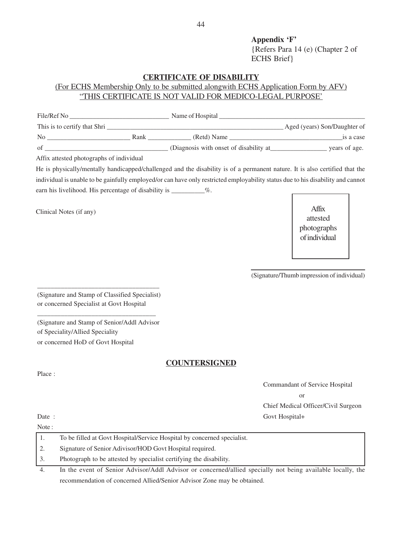**Appendix 'F'** {Refers Para 14 (e) (Chapter 2 of ECHS Brief}

## **CERTIFICATE OF DISABILITY**

## (For ECHS Membership Only to be submitted alongwith ECHS Application Form by AFV) "THIS CERTIFICATE IS NOT VALID FOR MEDICO-LEGAL PURPOSE'

| File/Ref No                  |      | Name of Hospital                       |                              |
|------------------------------|------|----------------------------------------|------------------------------|
| This is to certify that Shri |      |                                        | Aged (years) Son/Daughter of |
| N <sub>0</sub>               | Rank | (Retd) Name                            | is a case                    |
| of                           |      | (Diagnosis with onset of disability at | years of age.                |

Affix attested photographs of individual

He is physically/mentally handicapped/challenged and the disability is of a permanent nature. It is also certified that the individual is unable to be gainfully employed/or can have only restricted employability status due to his disability and cannot earn his livelihood. His percentage of disability is \_\_\_\_\_\_\_\_\_%.

Clinical Notes (if any)

Affix attested photographs of individual

(Signature/Thumb impression of individual)

(Signature and Stamp of Classified Specialist) or concerned Specialist at Govt Hospital

\_\_\_\_\_\_\_\_\_\_\_\_\_\_\_\_\_\_\_\_\_\_\_\_\_\_\_\_\_\_\_\_\_\_\_\_

(Signature and Stamp of Senior/Addl Advisor of Speciality/Allied Speciality or concerned HoD of Govt Hospital

\_\_\_\_\_\_\_\_\_\_\_\_\_\_\_\_\_\_\_\_\_\_\_\_\_\_\_\_\_\_\_\_\_\_\_

#### **COUNTERSIGNED**

Commandant of Service Hospital or Chief Medical Officer/Civil Surgeon Date : Govt Hospital+

Place :

Note :

|    | To be filled at Govt Hospital/Service Hospital by concerned specialist.                                    |
|----|------------------------------------------------------------------------------------------------------------|
|    | Signature of Senior Adivisor/HOD Govt Hospital required.                                                   |
|    | Photograph to be attested by specialist certifying the disability.                                         |
| 4. | In the event of Senior Advisor/Addl Advisor or concerned/allied specially not being available locally, the |

recommendation of concerned Allied/Senior Advisor Zone may be obtained.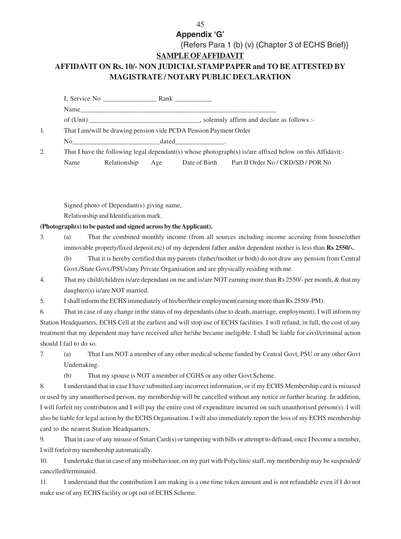## **Appendix 'G'**

## {Refers Para 1 (b) (v) (Chapter 3 of ECHS Brief)} **SAMPLE OFAFFIDAVIT AFFIDAVIT ON Rs. 10/- NON JUDICIAL STAMP PAPER and TO BE ATTESTED BY MAGISTRATE / NOTARY PUBLIC DECLARATION**

| I, Service No.                                                    | Rank the control of the control of the control of the control of the control of the control of the control of the control of the control of the control of the control of the control of the control of the control of the con |  |  |  |
|-------------------------------------------------------------------|--------------------------------------------------------------------------------------------------------------------------------------------------------------------------------------------------------------------------------|--|--|--|
| Name                                                              |                                                                                                                                                                                                                                |  |  |  |
|                                                                   |                                                                                                                                                                                                                                |  |  |  |
| That I am/will be drawing pension vide PCDA Pension Payment Order |                                                                                                                                                                                                                                |  |  |  |
| No.                                                               | $dated$ _________________.                                                                                                                                                                                                     |  |  |  |
|                                                                   | That I have the following legal dependant(s) whose photograph(s) is/are affixed below on this Affidavit:-                                                                                                                      |  |  |  |

Name Relationship Age Date of Birth Part II Order No / CRD/SD / POR No

Signed photo of Dependant(s) giving name,

Relationship and Identification mark.

**(Photograph(s) to be pasted and signed across by the Applicant).**

- 3. (a) That the combined monthly income (from all sources including income accruing from house/other immovable property/fixed deposit.etc) of my dependent father and/or dependent mother is less than **Rs 2550/-.** (b) That it is hereby certified that my parents (father/mother or both) do not draw any pension from Central Govt./State Govt./PSUs/any Private Organisation and are physically residing with me.
- 4. That my child/children is/are dependant on me and is/are NOT earning more than Rs 2550/- per month, & that my daughter(s) is/are NOT married.
- 5. I shall inform the ECHS immediately of his/her/their employment(earning more than Rs 2550/-PM).

6. That in case of any change in the status of my dependants (due to death, marriage, employment), I will inform my Station Headquarters, ECHS Cell at the earliest and will stop use of ECHS facilities. I will refund, in full, the cost of any treatment that my dependent may have received after he/she became ineligible. I shall be liable for civil/criminal action should I fail to do so.

- 7. (a) That I am NOT a member of any other medical scheme funded by Central Govt, PSU or any other Govt Undertaking.
	- (b) That my spouse is NOT a member of CGHS or any other Govt Scheme.

8. I understand that in case I have submitted any incorrect information, or if my ECHS Membership card is misused or used by any unauthorised person, my membership will be cancelled without any notice or further hearing. In addition, I will forfeit my contribution and I will pay the entire cost of expenditure incurred on such unauthorised person(s). I will also be liable for legal action by the ECHS Organisation. I will also immediately report the loss of my ECHS membership card to the nearest Station Headquarters.

9. That in case of any misuse of Smart Card(s) or tampering with bills or attempt to defraud, once I become a member, I will forfeit my membership automatically.

10. I undertake that in case of any misbehaviour, on my part with Polyclinic staff, my membership may be suspended/ cancelled/terminated.

11. I understand that the contribution I am making is a one time token amount and is not refundable even if I do not make use of any ECHS facility or opt out of ECHS Scheme.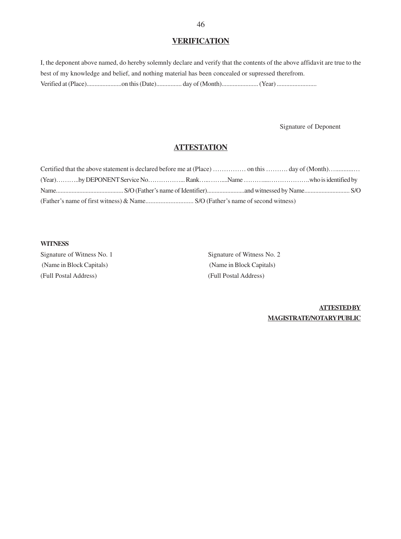## **VERIFICATION**

I, the deponent above named, do hereby solemnly declare and verify that the contents of the above affidavit are true to the best of my knowledge and belief, and nothing material has been concealed or supressed therefrom. Verified at (Place)......................on this (Date)................ day of (Month)....................... (Year) .........................

Signature of Deponent

## **ATTESTATION**

#### **WITNESS**

Signature of Witness No. 1 Signature of Witness No. 2 (Name in Block Capitals) (Name in Block Capitals) (Full Postal Address) (Full Postal Address)

**ATTESTED BY MAGISTRATE/NOTARY PUBLIC**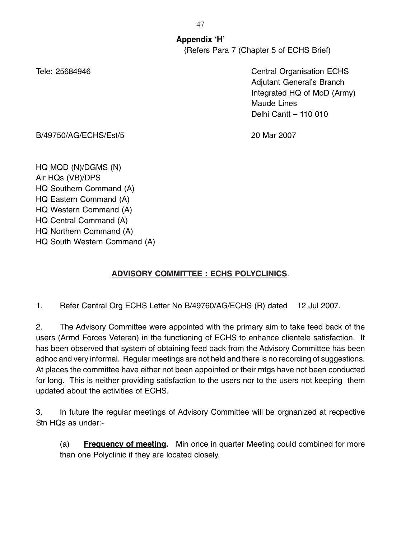**Appendix 'H'** {Refers Para 7 (Chapter 5 of ECHS Brief)

Tele: 25684946 Central Organisation ECHS Adjutant General's Branch Integrated HQ of MoD (Army) Maude Lines Delhi Cantt – 110 010

B/49750/AG/ECHS/Est/5 20 Mar 2007

HQ MOD (N)/DGMS (N) Air HQs (VB)/DPS HQ Southern Command (A) HQ Eastern Command (A) HQ Western Command (A) HQ Central Command (A) HQ Northern Command (A) HQ South Western Command (A)

## **ADVISORY COMMITTEE : ECHS POLYCLINICS**.

1. Refer Central Org ECHS Letter No B/49760/AG/ECHS (R) dated 12 Jul 2007.

2. The Advisory Committee were appointed with the primary aim to take feed back of the users (Armd Forces Veteran) in the functioning of ECHS to enhance clientele satisfaction. It has been observed that system of obtaining feed back from the Advisory Committee has been adhoc and very informal. Regular meetings are not held and there is no recording of suggestions. At places the committee have either not been appointed or their mtgs have not been conducted for long. This is neither providing satisfaction to the users nor to the users not keeping them updated about the activities of ECHS.

3. In future the regular meetings of Advisory Committee will be orgnanized at recpective Stn HQs as under:-

(a) **Frequency of meeting.** Min once in quarter Meeting could combined for more than one Polyclinic if they are located closely.